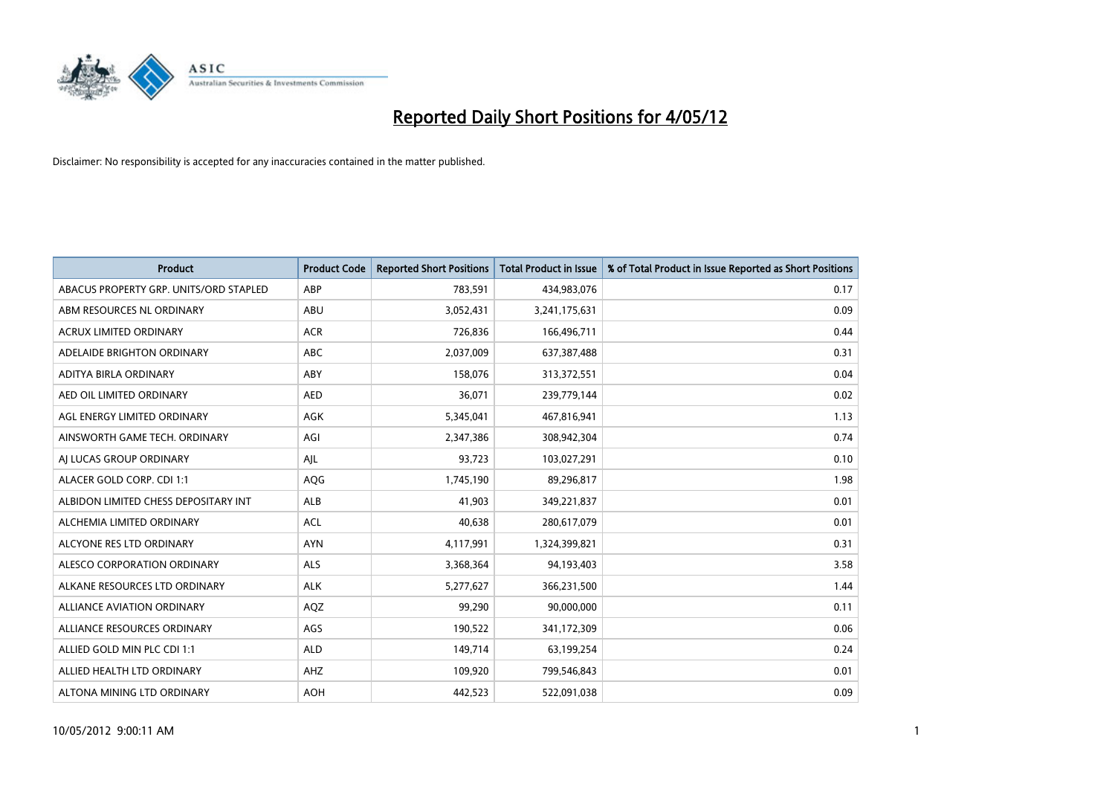

| <b>Product</b>                         | <b>Product Code</b> | <b>Reported Short Positions</b> | <b>Total Product in Issue</b> | % of Total Product in Issue Reported as Short Positions |
|----------------------------------------|---------------------|---------------------------------|-------------------------------|---------------------------------------------------------|
| ABACUS PROPERTY GRP. UNITS/ORD STAPLED | ABP                 | 783,591                         | 434,983,076                   | 0.17                                                    |
| ABM RESOURCES NL ORDINARY              | ABU                 | 3,052,431                       | 3,241,175,631                 | 0.09                                                    |
| <b>ACRUX LIMITED ORDINARY</b>          | <b>ACR</b>          | 726,836                         | 166,496,711                   | 0.44                                                    |
| ADELAIDE BRIGHTON ORDINARY             | <b>ABC</b>          | 2,037,009                       | 637,387,488                   | 0.31                                                    |
| ADITYA BIRLA ORDINARY                  | ABY                 | 158,076                         | 313,372,551                   | 0.04                                                    |
| AED OIL LIMITED ORDINARY               | <b>AED</b>          | 36,071                          | 239,779,144                   | 0.02                                                    |
| AGL ENERGY LIMITED ORDINARY            | AGK                 | 5,345,041                       | 467,816,941                   | 1.13                                                    |
| AINSWORTH GAME TECH. ORDINARY          | AGI                 | 2,347,386                       | 308,942,304                   | 0.74                                                    |
| AI LUCAS GROUP ORDINARY                | AJL                 | 93,723                          | 103,027,291                   | 0.10                                                    |
| ALACER GOLD CORP. CDI 1:1              | AQG                 | 1,745,190                       | 89,296,817                    | 1.98                                                    |
| ALBIDON LIMITED CHESS DEPOSITARY INT   | ALB                 | 41,903                          | 349,221,837                   | 0.01                                                    |
| ALCHEMIA LIMITED ORDINARY              | <b>ACL</b>          | 40,638                          | 280,617,079                   | 0.01                                                    |
| ALCYONE RES LTD ORDINARY               | <b>AYN</b>          | 4,117,991                       | 1,324,399,821                 | 0.31                                                    |
| ALESCO CORPORATION ORDINARY            | ALS                 | 3,368,364                       | 94,193,403                    | 3.58                                                    |
| ALKANE RESOURCES LTD ORDINARY          | <b>ALK</b>          | 5,277,627                       | 366,231,500                   | 1.44                                                    |
| ALLIANCE AVIATION ORDINARY             | AQZ                 | 99,290                          | 90,000,000                    | 0.11                                                    |
| ALLIANCE RESOURCES ORDINARY            | AGS                 | 190,522                         | 341,172,309                   | 0.06                                                    |
| ALLIED GOLD MIN PLC CDI 1:1            | <b>ALD</b>          | 149,714                         | 63,199,254                    | 0.24                                                    |
| ALLIED HEALTH LTD ORDINARY             | AHZ                 | 109,920                         | 799,546,843                   | 0.01                                                    |
| ALTONA MINING LTD ORDINARY             | <b>AOH</b>          | 442,523                         | 522,091,038                   | 0.09                                                    |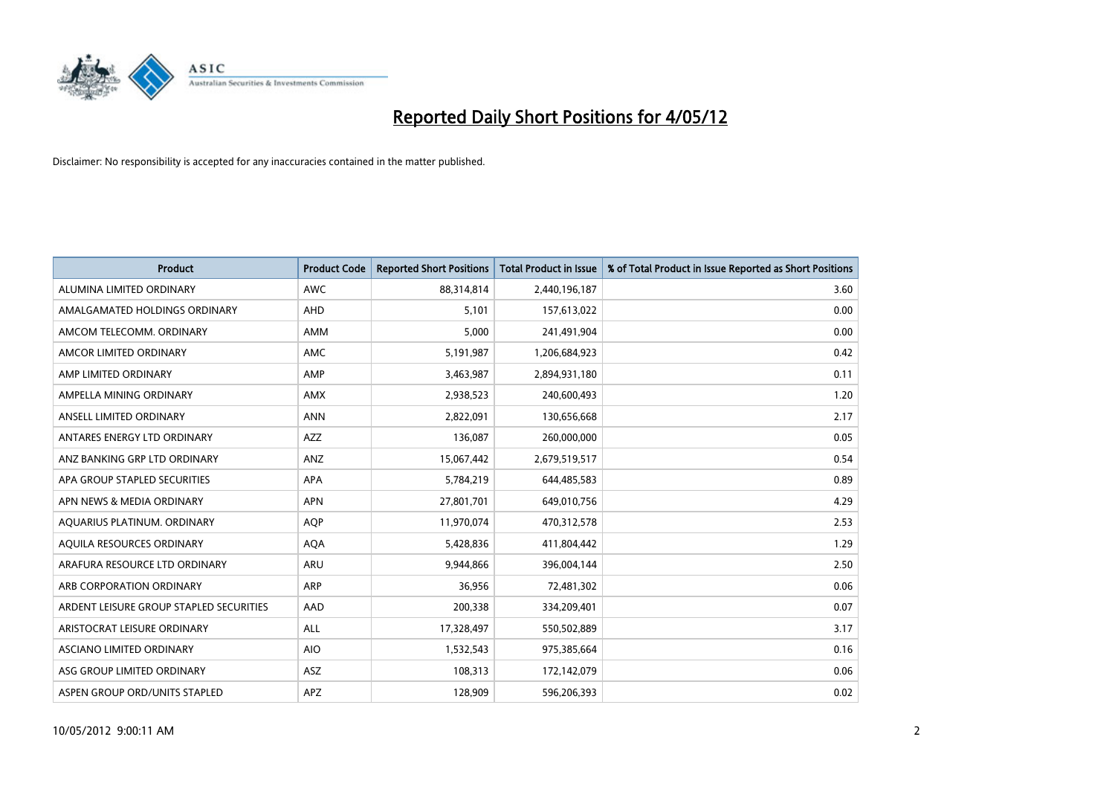

| <b>Product</b>                          | <b>Product Code</b> | <b>Reported Short Positions</b> | <b>Total Product in Issue</b> | % of Total Product in Issue Reported as Short Positions |
|-----------------------------------------|---------------------|---------------------------------|-------------------------------|---------------------------------------------------------|
| ALUMINA LIMITED ORDINARY                | <b>AWC</b>          | 88,314,814                      | 2,440,196,187                 | 3.60                                                    |
| AMALGAMATED HOLDINGS ORDINARY           | AHD                 | 5,101                           | 157,613,022                   | 0.00                                                    |
| AMCOM TELECOMM. ORDINARY                | AMM                 | 5,000                           | 241,491,904                   | 0.00                                                    |
| AMCOR LIMITED ORDINARY                  | AMC                 | 5,191,987                       | 1,206,684,923                 | 0.42                                                    |
| AMP LIMITED ORDINARY                    | AMP                 | 3,463,987                       | 2,894,931,180                 | 0.11                                                    |
| AMPELLA MINING ORDINARY                 | <b>AMX</b>          | 2,938,523                       | 240,600,493                   | 1.20                                                    |
| ANSELL LIMITED ORDINARY                 | <b>ANN</b>          | 2,822,091                       | 130,656,668                   | 2.17                                                    |
| ANTARES ENERGY LTD ORDINARY             | AZZ                 | 136,087                         | 260,000,000                   | 0.05                                                    |
| ANZ BANKING GRP LTD ORDINARY            | ANZ                 | 15,067,442                      | 2,679,519,517                 | 0.54                                                    |
| APA GROUP STAPLED SECURITIES            | <b>APA</b>          | 5,784,219                       | 644,485,583                   | 0.89                                                    |
| APN NEWS & MEDIA ORDINARY               | <b>APN</b>          | 27,801,701                      | 649,010,756                   | 4.29                                                    |
| AQUARIUS PLATINUM. ORDINARY             | <b>AOP</b>          | 11,970,074                      | 470,312,578                   | 2.53                                                    |
| AQUILA RESOURCES ORDINARY               | <b>AQA</b>          | 5,428,836                       | 411,804,442                   | 1.29                                                    |
| ARAFURA RESOURCE LTD ORDINARY           | <b>ARU</b>          | 9,944,866                       | 396,004,144                   | 2.50                                                    |
| ARB CORPORATION ORDINARY                | <b>ARP</b>          | 36,956                          | 72,481,302                    | 0.06                                                    |
| ARDENT LEISURE GROUP STAPLED SECURITIES | AAD                 | 200,338                         | 334,209,401                   | 0.07                                                    |
| ARISTOCRAT LEISURE ORDINARY             | <b>ALL</b>          | 17,328,497                      | 550,502,889                   | 3.17                                                    |
| ASCIANO LIMITED ORDINARY                | <b>AIO</b>          | 1,532,543                       | 975,385,664                   | 0.16                                                    |
| ASG GROUP LIMITED ORDINARY              | ASZ                 | 108,313                         | 172,142,079                   | 0.06                                                    |
| ASPEN GROUP ORD/UNITS STAPLED           | APZ                 | 128,909                         | 596,206,393                   | 0.02                                                    |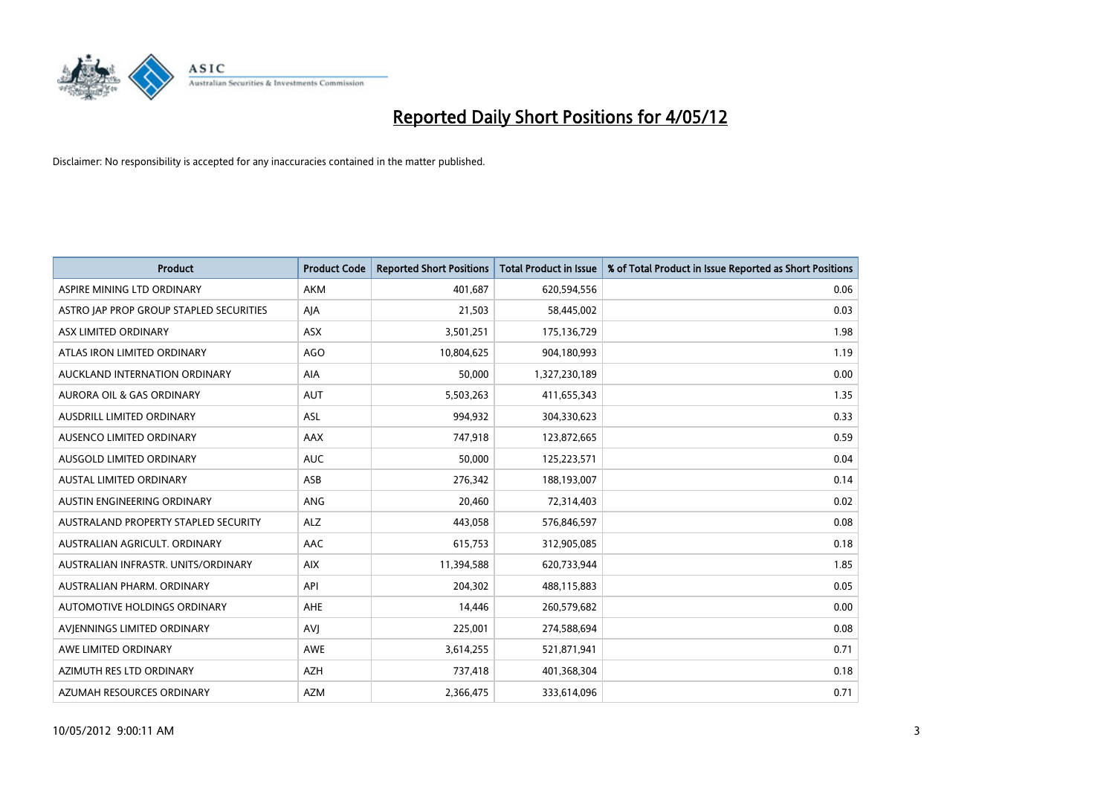

| <b>Product</b>                          | <b>Product Code</b> | <b>Reported Short Positions</b> | <b>Total Product in Issue</b> | % of Total Product in Issue Reported as Short Positions |
|-----------------------------------------|---------------------|---------------------------------|-------------------------------|---------------------------------------------------------|
| ASPIRE MINING LTD ORDINARY              | <b>AKM</b>          | 401,687                         | 620,594,556                   | 0.06                                                    |
| ASTRO JAP PROP GROUP STAPLED SECURITIES | AJA                 | 21,503                          | 58,445,002                    | 0.03                                                    |
| ASX LIMITED ORDINARY                    | <b>ASX</b>          | 3,501,251                       | 175,136,729                   | 1.98                                                    |
| ATLAS IRON LIMITED ORDINARY             | AGO                 | 10,804,625                      | 904,180,993                   | 1.19                                                    |
| AUCKLAND INTERNATION ORDINARY           | AIA                 | 50,000                          | 1,327,230,189                 | 0.00                                                    |
| <b>AURORA OIL &amp; GAS ORDINARY</b>    | <b>AUT</b>          | 5,503,263                       | 411,655,343                   | 1.35                                                    |
| AUSDRILL LIMITED ORDINARY               | ASL                 | 994,932                         | 304,330,623                   | 0.33                                                    |
| AUSENCO LIMITED ORDINARY                | AAX                 | 747,918                         | 123,872,665                   | 0.59                                                    |
| AUSGOLD LIMITED ORDINARY                | <b>AUC</b>          | 50.000                          | 125,223,571                   | 0.04                                                    |
| <b>AUSTAL LIMITED ORDINARY</b>          | ASB                 | 276,342                         | 188,193,007                   | 0.14                                                    |
| AUSTIN ENGINEERING ORDINARY             | ANG                 | 20,460                          | 72,314,403                    | 0.02                                                    |
| AUSTRALAND PROPERTY STAPLED SECURITY    | <b>ALZ</b>          | 443,058                         | 576,846,597                   | 0.08                                                    |
| AUSTRALIAN AGRICULT. ORDINARY           | AAC                 | 615,753                         | 312,905,085                   | 0.18                                                    |
| AUSTRALIAN INFRASTR. UNITS/ORDINARY     | <b>AIX</b>          | 11,394,588                      | 620,733,944                   | 1.85                                                    |
| AUSTRALIAN PHARM, ORDINARY              | API                 | 204,302                         | 488,115,883                   | 0.05                                                    |
| AUTOMOTIVE HOLDINGS ORDINARY            | AHE                 | 14,446                          | 260,579,682                   | 0.00                                                    |
| AVIENNINGS LIMITED ORDINARY             | <b>AVJ</b>          | 225,001                         | 274,588,694                   | 0.08                                                    |
| AWE LIMITED ORDINARY                    | <b>AWE</b>          | 3,614,255                       | 521,871,941                   | 0.71                                                    |
| AZIMUTH RES LTD ORDINARY                | <b>AZH</b>          | 737,418                         | 401,368,304                   | 0.18                                                    |
| AZUMAH RESOURCES ORDINARY               | <b>AZM</b>          | 2,366,475                       | 333,614,096                   | 0.71                                                    |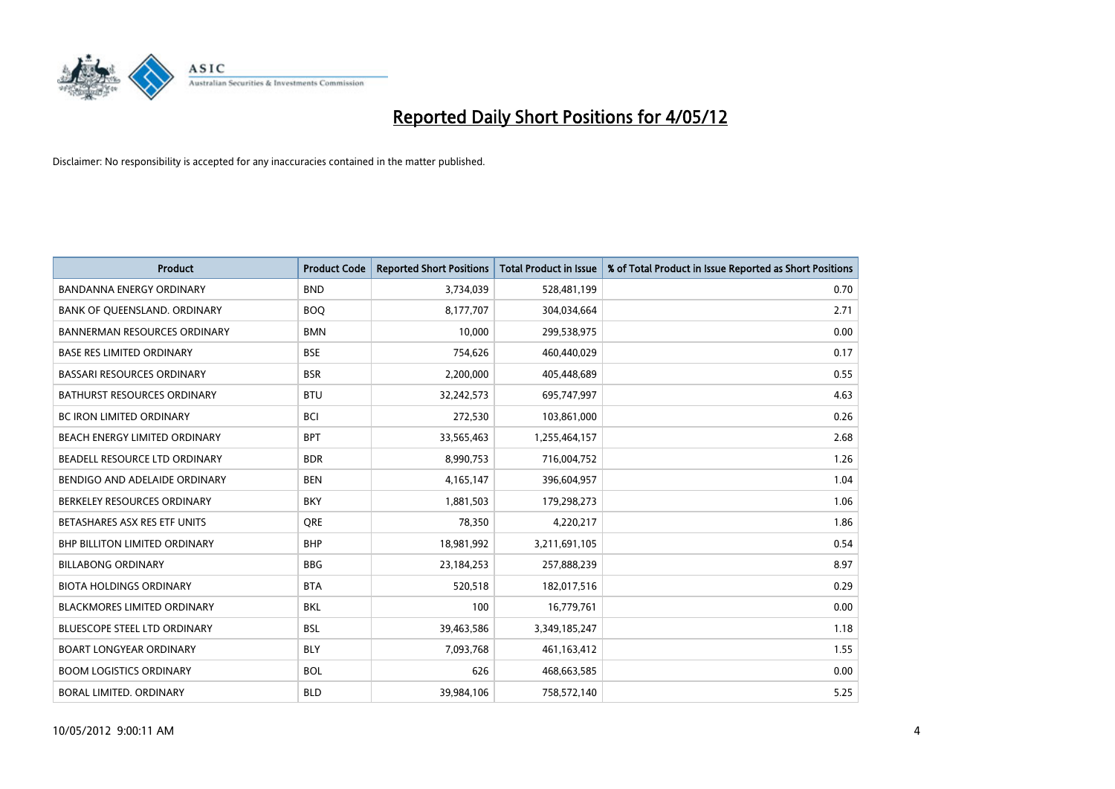

| <b>Product</b>                       | <b>Product Code</b> | <b>Reported Short Positions</b> | <b>Total Product in Issue</b> | % of Total Product in Issue Reported as Short Positions |
|--------------------------------------|---------------------|---------------------------------|-------------------------------|---------------------------------------------------------|
| <b>BANDANNA ENERGY ORDINARY</b>      | <b>BND</b>          | 3,734,039                       | 528,481,199                   | 0.70                                                    |
| BANK OF QUEENSLAND. ORDINARY         | <b>BOQ</b>          | 8,177,707                       | 304,034,664                   | 2.71                                                    |
| <b>BANNERMAN RESOURCES ORDINARY</b>  | <b>BMN</b>          | 10,000                          | 299,538,975                   | 0.00                                                    |
| <b>BASE RES LIMITED ORDINARY</b>     | <b>BSE</b>          | 754,626                         | 460,440,029                   | 0.17                                                    |
| <b>BASSARI RESOURCES ORDINARY</b>    | <b>BSR</b>          | 2,200,000                       | 405,448,689                   | 0.55                                                    |
| <b>BATHURST RESOURCES ORDINARY</b>   | <b>BTU</b>          | 32,242,573                      | 695,747,997                   | 4.63                                                    |
| <b>BC IRON LIMITED ORDINARY</b>      | <b>BCI</b>          | 272,530                         | 103,861,000                   | 0.26                                                    |
| BEACH ENERGY LIMITED ORDINARY        | <b>BPT</b>          | 33,565,463                      | 1,255,464,157                 | 2.68                                                    |
| BEADELL RESOURCE LTD ORDINARY        | <b>BDR</b>          | 8,990,753                       | 716,004,752                   | 1.26                                                    |
| BENDIGO AND ADELAIDE ORDINARY        | <b>BEN</b>          | 4, 165, 147                     | 396,604,957                   | 1.04                                                    |
| BERKELEY RESOURCES ORDINARY          | <b>BKY</b>          | 1,881,503                       | 179,298,273                   | 1.06                                                    |
| BETASHARES ASX RES ETF UNITS         | <b>ORE</b>          | 78,350                          | 4,220,217                     | 1.86                                                    |
| <b>BHP BILLITON LIMITED ORDINARY</b> | <b>BHP</b>          | 18,981,992                      | 3,211,691,105                 | 0.54                                                    |
| <b>BILLABONG ORDINARY</b>            | <b>BBG</b>          | 23,184,253                      | 257,888,239                   | 8.97                                                    |
| <b>BIOTA HOLDINGS ORDINARY</b>       | <b>BTA</b>          | 520,518                         | 182,017,516                   | 0.29                                                    |
| <b>BLACKMORES LIMITED ORDINARY</b>   | BKL                 | 100                             | 16,779,761                    | 0.00                                                    |
| BLUESCOPE STEEL LTD ORDINARY         | <b>BSL</b>          | 39,463,586                      | 3,349,185,247                 | 1.18                                                    |
| <b>BOART LONGYEAR ORDINARY</b>       | <b>BLY</b>          | 7,093,768                       | 461,163,412                   | 1.55                                                    |
| <b>BOOM LOGISTICS ORDINARY</b>       | <b>BOL</b>          | 626                             | 468,663,585                   | 0.00                                                    |
| BORAL LIMITED. ORDINARY              | <b>BLD</b>          | 39,984,106                      | 758,572,140                   | 5.25                                                    |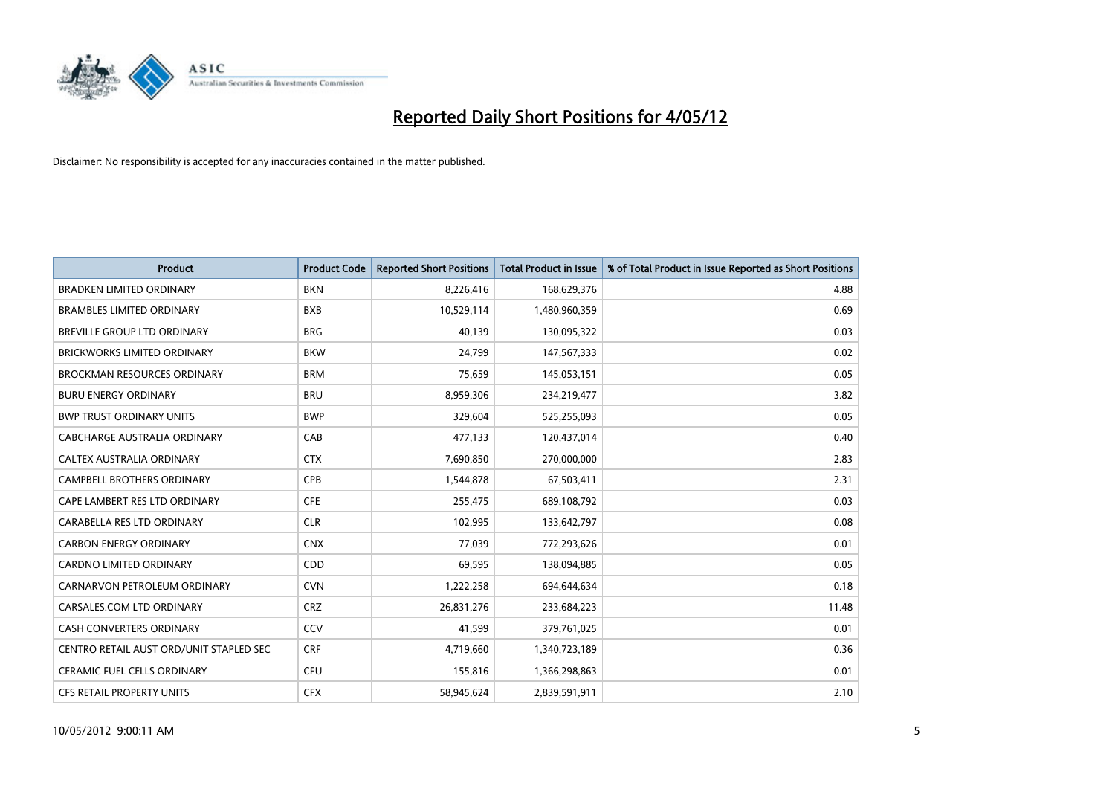

| <b>Product</b>                          | <b>Product Code</b> | <b>Reported Short Positions</b> | <b>Total Product in Issue</b> | % of Total Product in Issue Reported as Short Positions |
|-----------------------------------------|---------------------|---------------------------------|-------------------------------|---------------------------------------------------------|
| <b>BRADKEN LIMITED ORDINARY</b>         | <b>BKN</b>          | 8,226,416                       | 168,629,376                   | 4.88                                                    |
| <b>BRAMBLES LIMITED ORDINARY</b>        | <b>BXB</b>          | 10,529,114                      | 1,480,960,359                 | 0.69                                                    |
| BREVILLE GROUP LTD ORDINARY             | <b>BRG</b>          | 40,139                          | 130,095,322                   | 0.03                                                    |
| <b>BRICKWORKS LIMITED ORDINARY</b>      | <b>BKW</b>          | 24,799                          | 147,567,333                   | 0.02                                                    |
| <b>BROCKMAN RESOURCES ORDINARY</b>      | <b>BRM</b>          | 75,659                          | 145,053,151                   | 0.05                                                    |
| <b>BURU ENERGY ORDINARY</b>             | <b>BRU</b>          | 8,959,306                       | 234,219,477                   | 3.82                                                    |
| <b>BWP TRUST ORDINARY UNITS</b>         | <b>BWP</b>          | 329,604                         | 525,255,093                   | 0.05                                                    |
| CABCHARGE AUSTRALIA ORDINARY            | CAB                 | 477,133                         | 120,437,014                   | 0.40                                                    |
| CALTEX AUSTRALIA ORDINARY               | <b>CTX</b>          | 7,690,850                       | 270,000,000                   | 2.83                                                    |
| <b>CAMPBELL BROTHERS ORDINARY</b>       | <b>CPB</b>          | 1,544,878                       | 67,503,411                    | 2.31                                                    |
| CAPE LAMBERT RES LTD ORDINARY           | <b>CFE</b>          | 255,475                         | 689,108,792                   | 0.03                                                    |
| CARABELLA RES LTD ORDINARY              | <b>CLR</b>          | 102,995                         | 133,642,797                   | 0.08                                                    |
| <b>CARBON ENERGY ORDINARY</b>           | <b>CNX</b>          | 77,039                          | 772,293,626                   | 0.01                                                    |
| <b>CARDNO LIMITED ORDINARY</b>          | CDD                 | 69,595                          | 138,094,885                   | 0.05                                                    |
| CARNARVON PETROLEUM ORDINARY            | <b>CVN</b>          | 1,222,258                       | 694,644,634                   | 0.18                                                    |
| CARSALES.COM LTD ORDINARY               | <b>CRZ</b>          | 26,831,276                      | 233,684,223                   | 11.48                                                   |
| CASH CONVERTERS ORDINARY                | CCV                 | 41,599                          | 379,761,025                   | 0.01                                                    |
| CENTRO RETAIL AUST ORD/UNIT STAPLED SEC | <b>CRF</b>          | 4,719,660                       | 1,340,723,189                 | 0.36                                                    |
| CERAMIC FUEL CELLS ORDINARY             | <b>CFU</b>          | 155,816                         | 1,366,298,863                 | 0.01                                                    |
| CFS RETAIL PROPERTY UNITS               | <b>CFX</b>          | 58,945,624                      | 2,839,591,911                 | 2.10                                                    |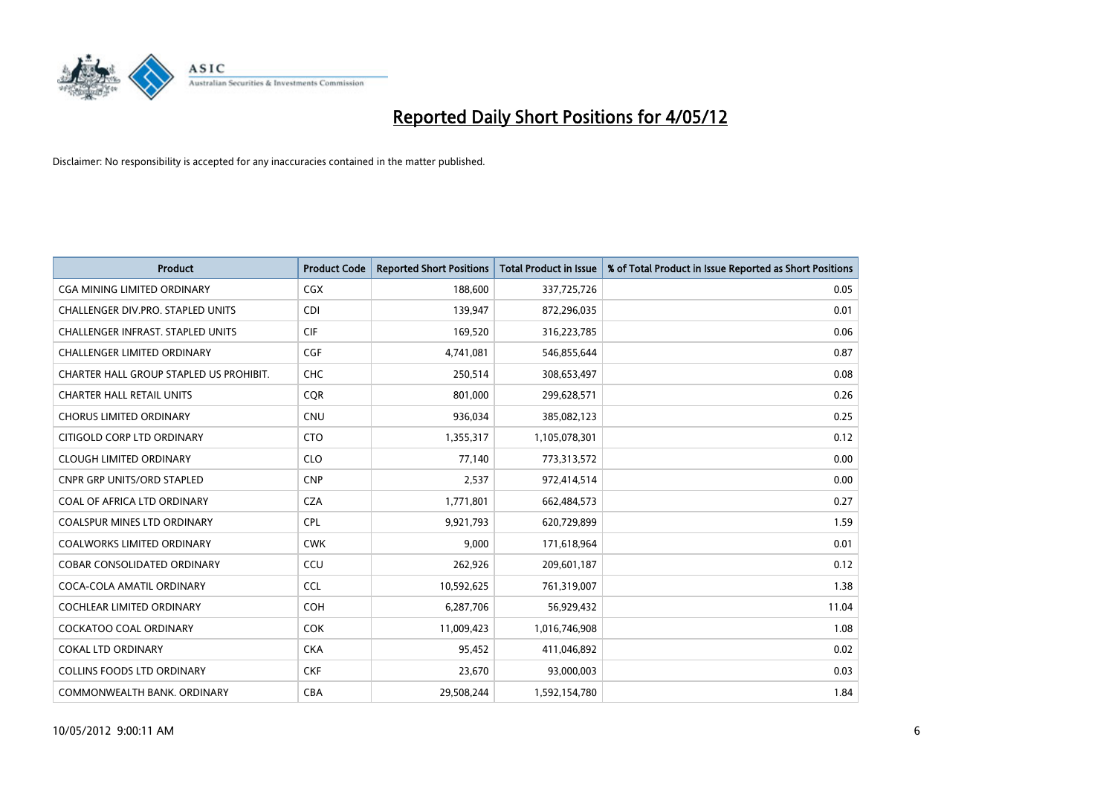

| <b>Product</b>                           | <b>Product Code</b> | <b>Reported Short Positions</b> | <b>Total Product in Issue</b> | % of Total Product in Issue Reported as Short Positions |
|------------------------------------------|---------------------|---------------------------------|-------------------------------|---------------------------------------------------------|
| <b>CGA MINING LIMITED ORDINARY</b>       | <b>CGX</b>          | 188,600                         | 337,725,726                   | 0.05                                                    |
| CHALLENGER DIV.PRO. STAPLED UNITS        | <b>CDI</b>          | 139,947                         | 872,296,035                   | 0.01                                                    |
| <b>CHALLENGER INFRAST, STAPLED UNITS</b> | <b>CIF</b>          | 169,520                         | 316,223,785                   | 0.06                                                    |
| <b>CHALLENGER LIMITED ORDINARY</b>       | <b>CGF</b>          | 4,741,081                       | 546,855,644                   | 0.87                                                    |
| CHARTER HALL GROUP STAPLED US PROHIBIT.  | <b>CHC</b>          | 250,514                         | 308,653,497                   | 0.08                                                    |
| <b>CHARTER HALL RETAIL UNITS</b>         | CQR                 | 801,000                         | 299,628,571                   | 0.26                                                    |
| <b>CHORUS LIMITED ORDINARY</b>           | <b>CNU</b>          | 936,034                         | 385,082,123                   | 0.25                                                    |
| CITIGOLD CORP LTD ORDINARY               | <b>CTO</b>          | 1,355,317                       | 1,105,078,301                 | 0.12                                                    |
| <b>CLOUGH LIMITED ORDINARY</b>           | <b>CLO</b>          | 77,140                          | 773,313,572                   | 0.00                                                    |
| <b>CNPR GRP UNITS/ORD STAPLED</b>        | <b>CNP</b>          | 2,537                           | 972,414,514                   | 0.00                                                    |
| COAL OF AFRICA LTD ORDINARY              | <b>CZA</b>          | 1,771,801                       | 662,484,573                   | 0.27                                                    |
| <b>COALSPUR MINES LTD ORDINARY</b>       | <b>CPL</b>          | 9,921,793                       | 620,729,899                   | 1.59                                                    |
| COALWORKS LIMITED ORDINARY               | <b>CWK</b>          | 9,000                           | 171,618,964                   | 0.01                                                    |
| <b>COBAR CONSOLIDATED ORDINARY</b>       | CCU                 | 262,926                         | 209,601,187                   | 0.12                                                    |
| COCA-COLA AMATIL ORDINARY                | <b>CCL</b>          | 10,592,625                      | 761,319,007                   | 1.38                                                    |
| COCHLEAR LIMITED ORDINARY                | <b>COH</b>          | 6,287,706                       | 56,929,432                    | 11.04                                                   |
| COCKATOO COAL ORDINARY                   | <b>COK</b>          | 11,009,423                      | 1,016,746,908                 | 1.08                                                    |
| COKAL LTD ORDINARY                       | <b>CKA</b>          | 95,452                          | 411,046,892                   | 0.02                                                    |
| <b>COLLINS FOODS LTD ORDINARY</b>        | <b>CKF</b>          | 23,670                          | 93,000,003                    | 0.03                                                    |
| COMMONWEALTH BANK, ORDINARY              | <b>CBA</b>          | 29,508,244                      | 1,592,154,780                 | 1.84                                                    |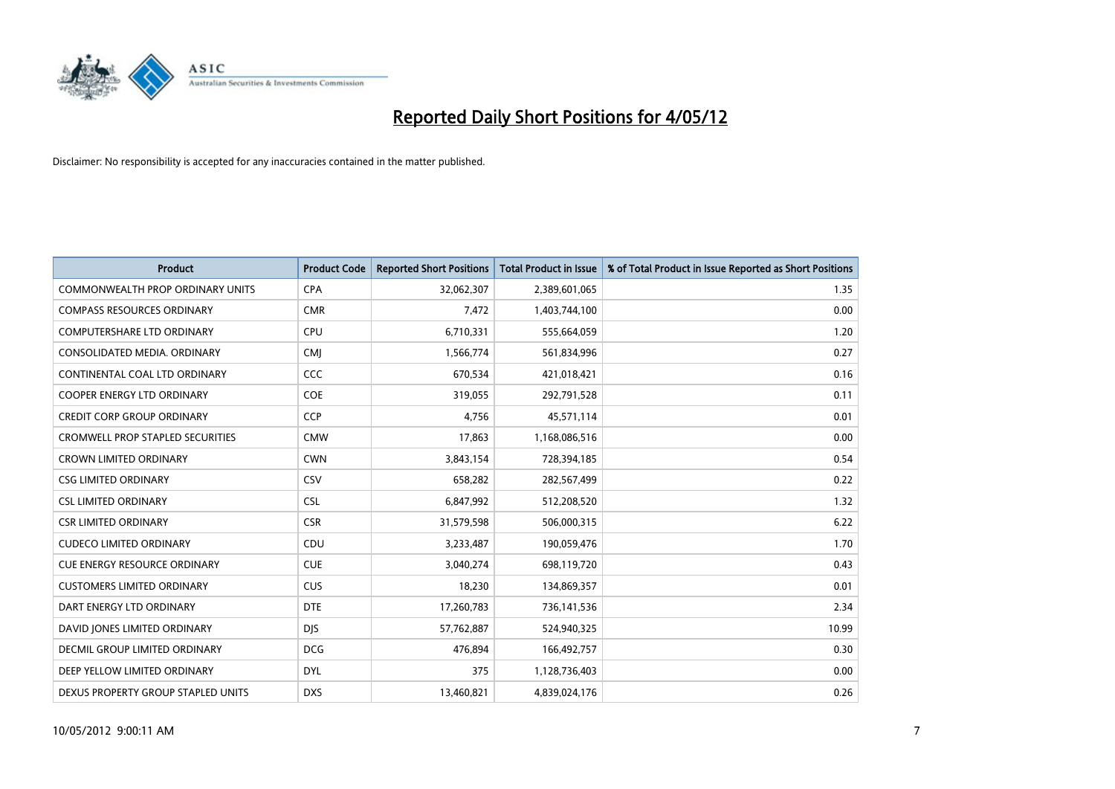

| <b>Product</b>                          | <b>Product Code</b> | <b>Reported Short Positions</b> | <b>Total Product in Issue</b> | % of Total Product in Issue Reported as Short Positions |
|-----------------------------------------|---------------------|---------------------------------|-------------------------------|---------------------------------------------------------|
| <b>COMMONWEALTH PROP ORDINARY UNITS</b> | <b>CPA</b>          | 32,062,307                      | 2,389,601,065                 | 1.35                                                    |
| <b>COMPASS RESOURCES ORDINARY</b>       | <b>CMR</b>          | 7,472                           | 1,403,744,100                 | 0.00                                                    |
| <b>COMPUTERSHARE LTD ORDINARY</b>       | <b>CPU</b>          | 6,710,331                       | 555,664,059                   | 1.20                                                    |
| CONSOLIDATED MEDIA. ORDINARY            | <b>CMJ</b>          | 1,566,774                       | 561,834,996                   | 0.27                                                    |
| CONTINENTAL COAL LTD ORDINARY           | CCC                 | 670,534                         | 421,018,421                   | 0.16                                                    |
| <b>COOPER ENERGY LTD ORDINARY</b>       | <b>COE</b>          | 319,055                         | 292,791,528                   | 0.11                                                    |
| <b>CREDIT CORP GROUP ORDINARY</b>       | <b>CCP</b>          | 4,756                           | 45,571,114                    | 0.01                                                    |
| <b>CROMWELL PROP STAPLED SECURITIES</b> | <b>CMW</b>          | 17,863                          | 1,168,086,516                 | 0.00                                                    |
| <b>CROWN LIMITED ORDINARY</b>           | <b>CWN</b>          | 3,843,154                       | 728,394,185                   | 0.54                                                    |
| <b>CSG LIMITED ORDINARY</b>             | CSV                 | 658,282                         | 282,567,499                   | 0.22                                                    |
| <b>CSL LIMITED ORDINARY</b>             | <b>CSL</b>          | 6,847,992                       | 512,208,520                   | 1.32                                                    |
| <b>CSR LIMITED ORDINARY</b>             | <b>CSR</b>          | 31,579,598                      | 506,000,315                   | 6.22                                                    |
| <b>CUDECO LIMITED ORDINARY</b>          | CDU                 | 3,233,487                       | 190,059,476                   | 1.70                                                    |
| <b>CUE ENERGY RESOURCE ORDINARY</b>     | <b>CUE</b>          | 3,040,274                       | 698,119,720                   | 0.43                                                    |
| <b>CUSTOMERS LIMITED ORDINARY</b>       | <b>CUS</b>          | 18,230                          | 134,869,357                   | 0.01                                                    |
| DART ENERGY LTD ORDINARY                | <b>DTE</b>          | 17,260,783                      | 736,141,536                   | 2.34                                                    |
| DAVID JONES LIMITED ORDINARY            | <b>DJS</b>          | 57,762,887                      | 524,940,325                   | 10.99                                                   |
| <b>DECMIL GROUP LIMITED ORDINARY</b>    | <b>DCG</b>          | 476,894                         | 166,492,757                   | 0.30                                                    |
| DEEP YELLOW LIMITED ORDINARY            | <b>DYL</b>          | 375                             | 1,128,736,403                 | 0.00                                                    |
| DEXUS PROPERTY GROUP STAPLED UNITS      | <b>DXS</b>          | 13,460,821                      | 4,839,024,176                 | 0.26                                                    |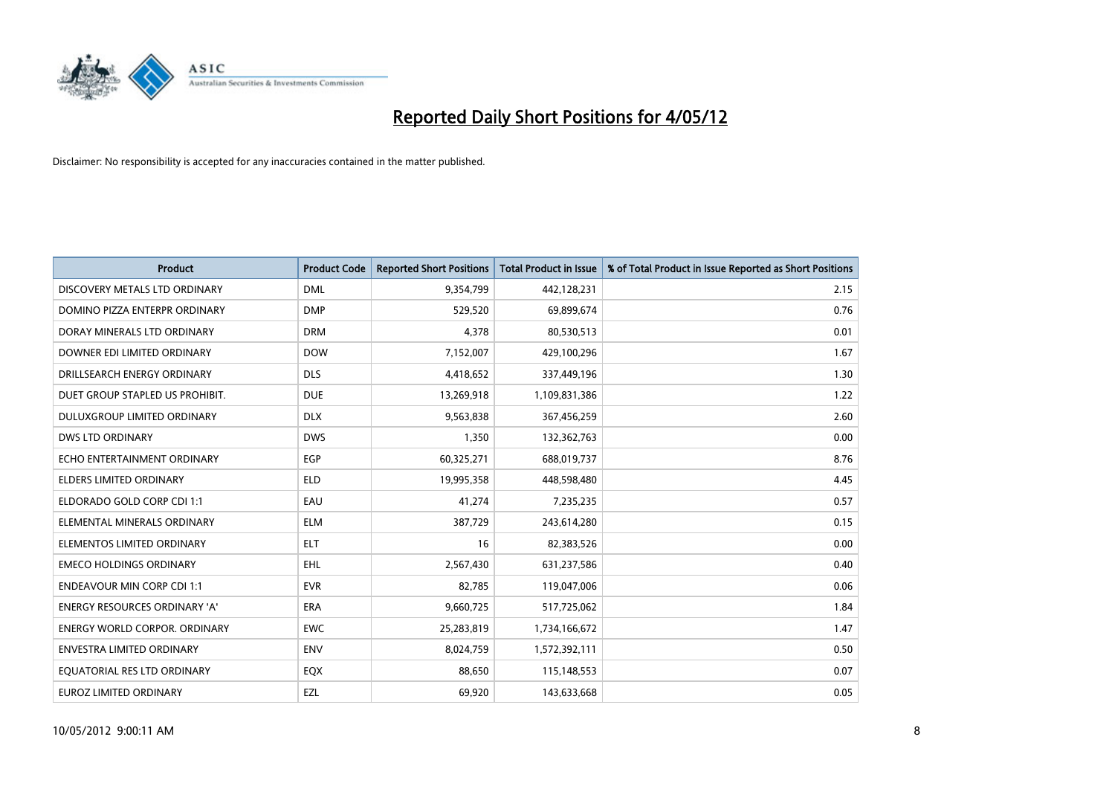

| <b>Product</b>                       | <b>Product Code</b> | <b>Reported Short Positions</b> | <b>Total Product in Issue</b> | % of Total Product in Issue Reported as Short Positions |
|--------------------------------------|---------------------|---------------------------------|-------------------------------|---------------------------------------------------------|
| DISCOVERY METALS LTD ORDINARY        | <b>DML</b>          | 9,354,799                       | 442,128,231                   | 2.15                                                    |
| DOMINO PIZZA ENTERPR ORDINARY        | <b>DMP</b>          | 529,520                         | 69,899,674                    | 0.76                                                    |
| DORAY MINERALS LTD ORDINARY          | <b>DRM</b>          | 4,378                           | 80,530,513                    | 0.01                                                    |
| DOWNER EDI LIMITED ORDINARY          | <b>DOW</b>          | 7,152,007                       | 429,100,296                   | 1.67                                                    |
| DRILLSEARCH ENERGY ORDINARY          | <b>DLS</b>          | 4,418,652                       | 337,449,196                   | 1.30                                                    |
| DUET GROUP STAPLED US PROHIBIT.      | <b>DUE</b>          | 13,269,918                      | 1,109,831,386                 | 1.22                                                    |
| DULUXGROUP LIMITED ORDINARY          | <b>DLX</b>          | 9,563,838                       | 367,456,259                   | 2.60                                                    |
| <b>DWS LTD ORDINARY</b>              | <b>DWS</b>          | 1,350                           | 132,362,763                   | 0.00                                                    |
| ECHO ENTERTAINMENT ORDINARY          | <b>EGP</b>          | 60,325,271                      | 688,019,737                   | 8.76                                                    |
| <b>ELDERS LIMITED ORDINARY</b>       | <b>ELD</b>          | 19,995,358                      | 448,598,480                   | 4.45                                                    |
| ELDORADO GOLD CORP CDI 1:1           | EAU                 | 41,274                          | 7,235,235                     | 0.57                                                    |
| ELEMENTAL MINERALS ORDINARY          | <b>ELM</b>          | 387,729                         | 243,614,280                   | 0.15                                                    |
| ELEMENTOS LIMITED ORDINARY           | <b>ELT</b>          | 16                              | 82,383,526                    | 0.00                                                    |
| <b>EMECO HOLDINGS ORDINARY</b>       | <b>EHL</b>          | 2,567,430                       | 631,237,586                   | 0.40                                                    |
| <b>ENDEAVOUR MIN CORP CDI 1:1</b>    | <b>EVR</b>          | 82,785                          | 119,047,006                   | 0.06                                                    |
| <b>ENERGY RESOURCES ORDINARY 'A'</b> | <b>ERA</b>          | 9,660,725                       | 517,725,062                   | 1.84                                                    |
| <b>ENERGY WORLD CORPOR, ORDINARY</b> | <b>EWC</b>          | 25,283,819                      | 1,734,166,672                 | 1.47                                                    |
| ENVESTRA LIMITED ORDINARY            | <b>ENV</b>          | 8,024,759                       | 1,572,392,111                 | 0.50                                                    |
| EQUATORIAL RES LTD ORDINARY          | EQX                 | 88,650                          | 115,148,553                   | 0.07                                                    |
| EUROZ LIMITED ORDINARY               | EZL                 | 69,920                          | 143,633,668                   | 0.05                                                    |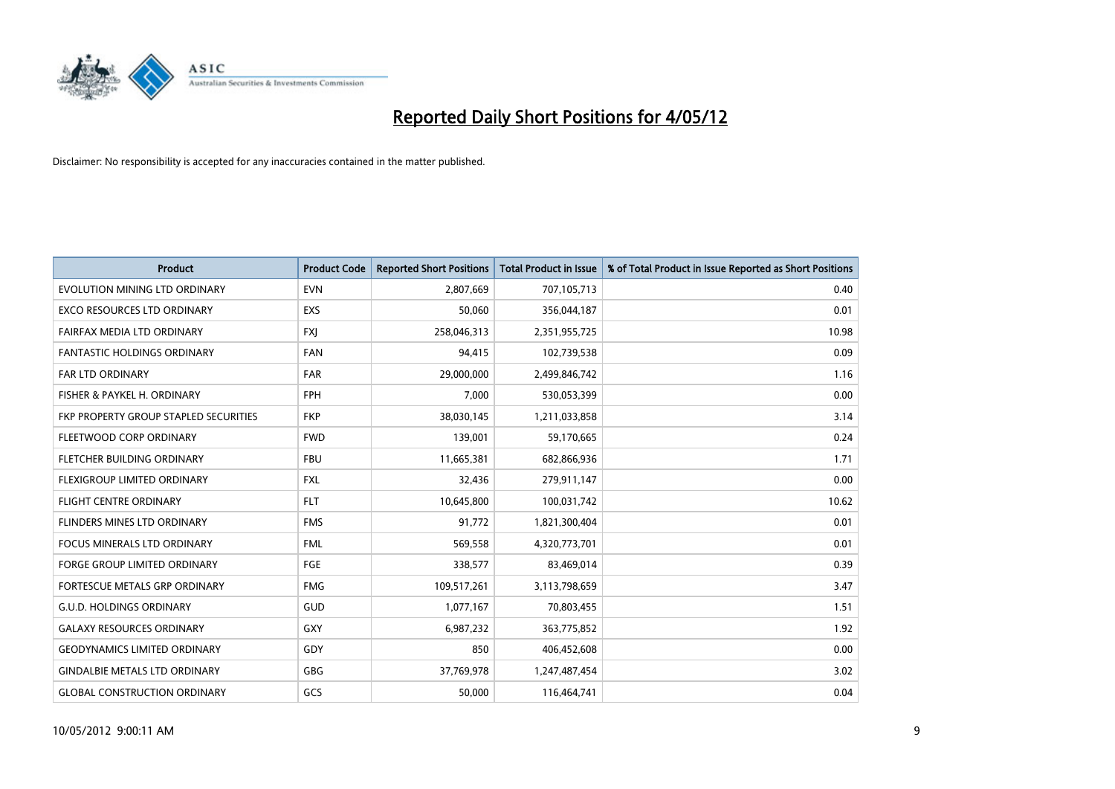

| <b>Product</b>                        | <b>Product Code</b> | <b>Reported Short Positions</b> | <b>Total Product in Issue</b> | % of Total Product in Issue Reported as Short Positions |
|---------------------------------------|---------------------|---------------------------------|-------------------------------|---------------------------------------------------------|
| EVOLUTION MINING LTD ORDINARY         | <b>EVN</b>          | 2,807,669                       | 707,105,713                   | 0.40                                                    |
| EXCO RESOURCES LTD ORDINARY           | <b>EXS</b>          | 50,060                          | 356,044,187                   | 0.01                                                    |
| FAIRFAX MEDIA LTD ORDINARY            | <b>FXI</b>          | 258,046,313                     | 2,351,955,725                 | 10.98                                                   |
| <b>FANTASTIC HOLDINGS ORDINARY</b>    | <b>FAN</b>          | 94,415                          | 102,739,538                   | 0.09                                                    |
| <b>FAR LTD ORDINARY</b>               | <b>FAR</b>          | 29,000,000                      | 2,499,846,742                 | 1.16                                                    |
| FISHER & PAYKEL H. ORDINARY           | <b>FPH</b>          | 7,000                           | 530,053,399                   | 0.00                                                    |
| FKP PROPERTY GROUP STAPLED SECURITIES | <b>FKP</b>          | 38,030,145                      | 1,211,033,858                 | 3.14                                                    |
| FLEETWOOD CORP ORDINARY               | <b>FWD</b>          | 139,001                         | 59,170,665                    | 0.24                                                    |
| FLETCHER BUILDING ORDINARY            | <b>FBU</b>          | 11,665,381                      | 682,866,936                   | 1.71                                                    |
| FLEXIGROUP LIMITED ORDINARY           | <b>FXL</b>          | 32,436                          | 279,911,147                   | 0.00                                                    |
| <b>FLIGHT CENTRE ORDINARY</b>         | <b>FLT</b>          | 10,645,800                      | 100,031,742                   | 10.62                                                   |
| FLINDERS MINES LTD ORDINARY           | <b>FMS</b>          | 91,772                          | 1,821,300,404                 | 0.01                                                    |
| <b>FOCUS MINERALS LTD ORDINARY</b>    | <b>FML</b>          | 569,558                         | 4,320,773,701                 | 0.01                                                    |
| <b>FORGE GROUP LIMITED ORDINARY</b>   | FGE                 | 338,577                         | 83,469,014                    | 0.39                                                    |
| FORTESCUE METALS GRP ORDINARY         | <b>FMG</b>          | 109,517,261                     | 3,113,798,659                 | 3.47                                                    |
| <b>G.U.D. HOLDINGS ORDINARY</b>       | GUD                 | 1,077,167                       | 70,803,455                    | 1.51                                                    |
| <b>GALAXY RESOURCES ORDINARY</b>      | GXY                 | 6,987,232                       | 363,775,852                   | 1.92                                                    |
| <b>GEODYNAMICS LIMITED ORDINARY</b>   | GDY                 | 850                             | 406,452,608                   | 0.00                                                    |
| <b>GINDALBIE METALS LTD ORDINARY</b>  | GBG                 | 37,769,978                      | 1,247,487,454                 | 3.02                                                    |
| <b>GLOBAL CONSTRUCTION ORDINARY</b>   | GCS                 | 50,000                          | 116,464,741                   | 0.04                                                    |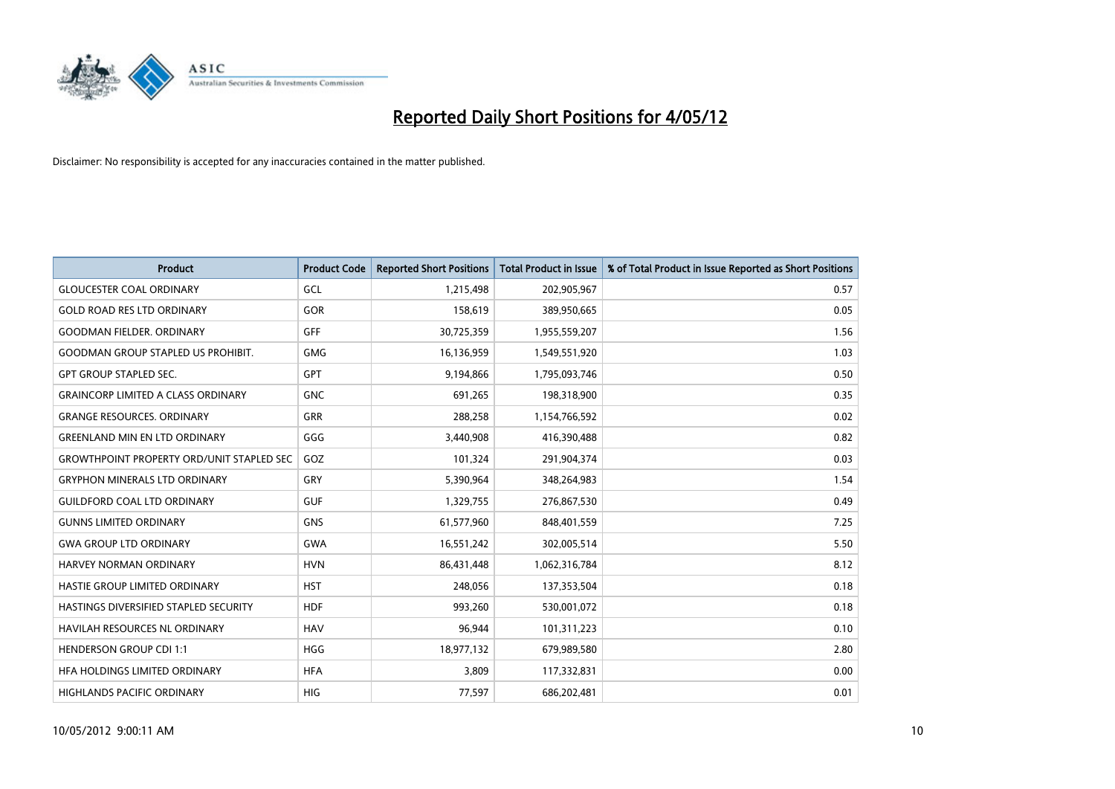

| <b>Product</b>                                   | <b>Product Code</b> | <b>Reported Short Positions</b> | <b>Total Product in Issue</b> | % of Total Product in Issue Reported as Short Positions |
|--------------------------------------------------|---------------------|---------------------------------|-------------------------------|---------------------------------------------------------|
| <b>GLOUCESTER COAL ORDINARY</b>                  | GCL                 | 1,215,498                       | 202,905,967                   | 0.57                                                    |
| <b>GOLD ROAD RES LTD ORDINARY</b>                | GOR                 | 158,619                         | 389,950,665                   | 0.05                                                    |
| <b>GOODMAN FIELDER, ORDINARY</b>                 | GFF                 | 30,725,359                      | 1,955,559,207                 | 1.56                                                    |
| <b>GOODMAN GROUP STAPLED US PROHIBIT.</b>        | <b>GMG</b>          | 16,136,959                      | 1,549,551,920                 | 1.03                                                    |
| <b>GPT GROUP STAPLED SEC.</b>                    | GPT                 | 9,194,866                       | 1,795,093,746                 | 0.50                                                    |
| <b>GRAINCORP LIMITED A CLASS ORDINARY</b>        | <b>GNC</b>          | 691,265                         | 198,318,900                   | 0.35                                                    |
| <b>GRANGE RESOURCES, ORDINARY</b>                | GRR                 | 288,258                         | 1,154,766,592                 | 0.02                                                    |
| <b>GREENLAND MIN EN LTD ORDINARY</b>             | GGG                 | 3,440,908                       | 416,390,488                   | 0.82                                                    |
| <b>GROWTHPOINT PROPERTY ORD/UNIT STAPLED SEC</b> | GOZ                 | 101,324                         | 291,904,374                   | 0.03                                                    |
| <b>GRYPHON MINERALS LTD ORDINARY</b>             | GRY                 | 5,390,964                       | 348,264,983                   | 1.54                                                    |
| <b>GUILDFORD COAL LTD ORDINARY</b>               | <b>GUF</b>          | 1,329,755                       | 276,867,530                   | 0.49                                                    |
| <b>GUNNS LIMITED ORDINARY</b>                    | <b>GNS</b>          | 61,577,960                      | 848,401,559                   | 7.25                                                    |
| <b>GWA GROUP LTD ORDINARY</b>                    | GWA                 | 16,551,242                      | 302,005,514                   | 5.50                                                    |
| HARVEY NORMAN ORDINARY                           | <b>HVN</b>          | 86,431,448                      | 1,062,316,784                 | 8.12                                                    |
| HASTIE GROUP LIMITED ORDINARY                    | <b>HST</b>          | 248,056                         | 137,353,504                   | 0.18                                                    |
| HASTINGS DIVERSIFIED STAPLED SECURITY            | <b>HDF</b>          | 993,260                         | 530,001,072                   | 0.18                                                    |
| HAVILAH RESOURCES NL ORDINARY                    | <b>HAV</b>          | 96,944                          | 101,311,223                   | 0.10                                                    |
| <b>HENDERSON GROUP CDI 1:1</b>                   | <b>HGG</b>          | 18,977,132                      | 679,989,580                   | 2.80                                                    |
| HFA HOLDINGS LIMITED ORDINARY                    | <b>HFA</b>          | 3,809                           | 117,332,831                   | 0.00                                                    |
| HIGHLANDS PACIFIC ORDINARY                       | <b>HIG</b>          | 77,597                          | 686,202,481                   | 0.01                                                    |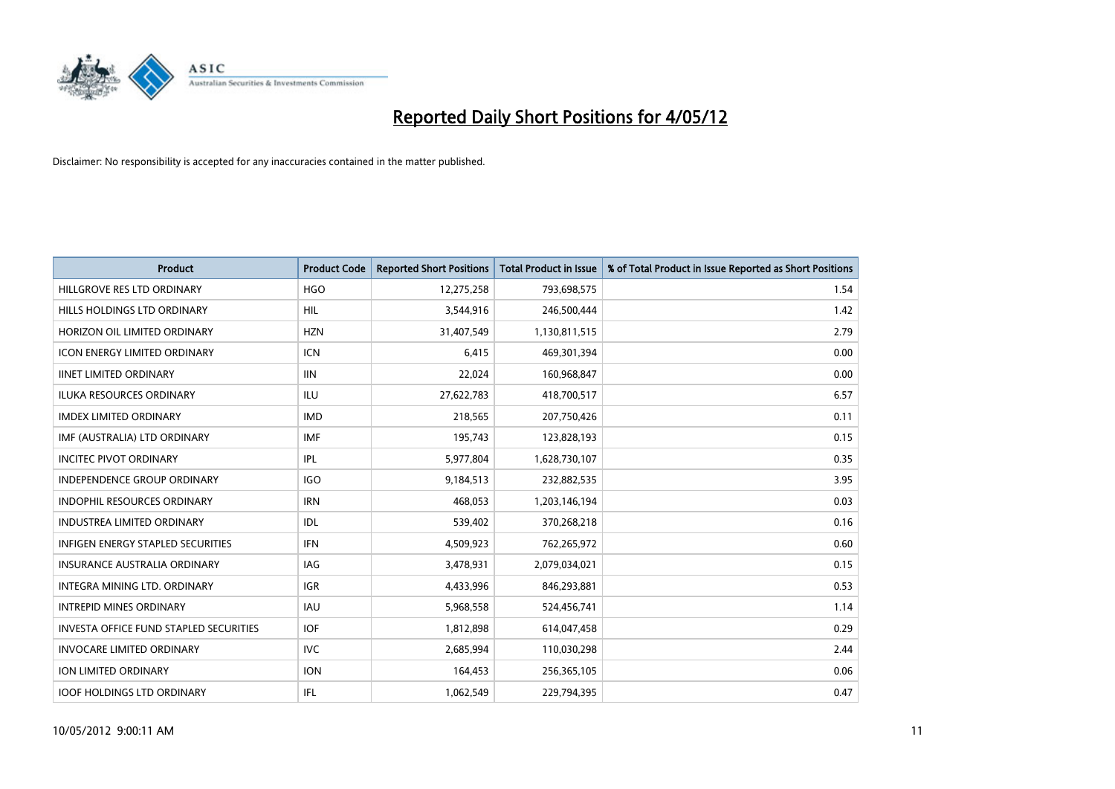

| <b>Product</b>                                | <b>Product Code</b> | <b>Reported Short Positions</b> | <b>Total Product in Issue</b> | % of Total Product in Issue Reported as Short Positions |
|-----------------------------------------------|---------------------|---------------------------------|-------------------------------|---------------------------------------------------------|
| HILLGROVE RES LTD ORDINARY                    | <b>HGO</b>          | 12,275,258                      | 793,698,575                   | 1.54                                                    |
| HILLS HOLDINGS LTD ORDINARY                   | <b>HIL</b>          | 3,544,916                       | 246,500,444                   | 1.42                                                    |
| HORIZON OIL LIMITED ORDINARY                  | <b>HZN</b>          | 31,407,549                      | 1,130,811,515                 | 2.79                                                    |
| ICON ENERGY LIMITED ORDINARY                  | <b>ICN</b>          | 6,415                           | 469,301,394                   | 0.00                                                    |
| <b>IINET LIMITED ORDINARY</b>                 | <b>IIN</b>          | 22,024                          | 160,968,847                   | 0.00                                                    |
| <b>ILUKA RESOURCES ORDINARY</b>               | <b>ILU</b>          | 27,622,783                      | 418,700,517                   | 6.57                                                    |
| <b>IMDEX LIMITED ORDINARY</b>                 | <b>IMD</b>          | 218,565                         | 207,750,426                   | 0.11                                                    |
| IMF (AUSTRALIA) LTD ORDINARY                  | <b>IMF</b>          | 195,743                         | 123,828,193                   | 0.15                                                    |
| <b>INCITEC PIVOT ORDINARY</b>                 | <b>IPL</b>          | 5,977,804                       | 1,628,730,107                 | 0.35                                                    |
| <b>INDEPENDENCE GROUP ORDINARY</b>            | <b>IGO</b>          | 9,184,513                       | 232,882,535                   | 3.95                                                    |
| INDOPHIL RESOURCES ORDINARY                   | <b>IRN</b>          | 468,053                         | 1,203,146,194                 | 0.03                                                    |
| <b>INDUSTREA LIMITED ORDINARY</b>             | <b>IDL</b>          | 539,402                         | 370,268,218                   | 0.16                                                    |
| <b>INFIGEN ENERGY STAPLED SECURITIES</b>      | <b>IFN</b>          | 4,509,923                       | 762,265,972                   | 0.60                                                    |
| <b>INSURANCE AUSTRALIA ORDINARY</b>           | <b>IAG</b>          | 3,478,931                       | 2,079,034,021                 | 0.15                                                    |
| INTEGRA MINING LTD, ORDINARY                  | <b>IGR</b>          | 4,433,996                       | 846,293,881                   | 0.53                                                    |
| <b>INTREPID MINES ORDINARY</b>                | <b>IAU</b>          | 5,968,558                       | 524,456,741                   | 1.14                                                    |
| <b>INVESTA OFFICE FUND STAPLED SECURITIES</b> | <b>IOF</b>          | 1,812,898                       | 614,047,458                   | 0.29                                                    |
| <b>INVOCARE LIMITED ORDINARY</b>              | IVC.                | 2,685,994                       | 110,030,298                   | 2.44                                                    |
| ION LIMITED ORDINARY                          | <b>ION</b>          | 164,453                         | 256,365,105                   | 0.06                                                    |
| <b>IOOF HOLDINGS LTD ORDINARY</b>             | <b>IFL</b>          | 1,062,549                       | 229,794,395                   | 0.47                                                    |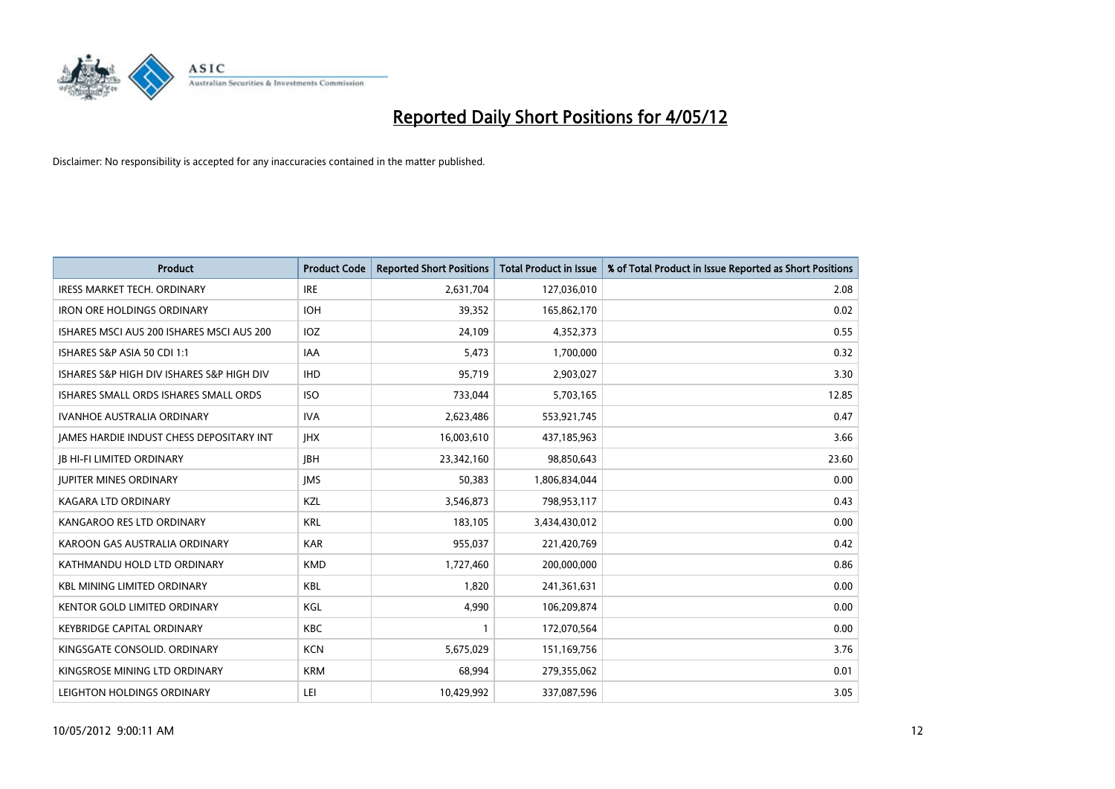

| <b>Product</b>                            | <b>Product Code</b> | <b>Reported Short Positions</b> | <b>Total Product in Issue</b> | % of Total Product in Issue Reported as Short Positions |
|-------------------------------------------|---------------------|---------------------------------|-------------------------------|---------------------------------------------------------|
| IRESS MARKET TECH. ORDINARY               | <b>IRE</b>          | 2,631,704                       | 127,036,010                   | 2.08                                                    |
| <b>IRON ORE HOLDINGS ORDINARY</b>         | <b>IOH</b>          | 39,352                          | 165,862,170                   | 0.02                                                    |
| ISHARES MSCI AUS 200 ISHARES MSCI AUS 200 | IOZ                 | 24,109                          | 4,352,373                     | 0.55                                                    |
| ISHARES S&P ASIA 50 CDI 1:1               | <b>IAA</b>          | 5,473                           | 1,700,000                     | 0.32                                                    |
| ISHARES S&P HIGH DIV ISHARES S&P HIGH DIV | <b>IHD</b>          | 95,719                          | 2,903,027                     | 3.30                                                    |
| ISHARES SMALL ORDS ISHARES SMALL ORDS     | <b>ISO</b>          | 733,044                         | 5,703,165                     | 12.85                                                   |
| <b>IVANHOE AUSTRALIA ORDINARY</b>         | <b>IVA</b>          | 2,623,486                       | 553,921,745                   | 0.47                                                    |
| JAMES HARDIE INDUST CHESS DEPOSITARY INT  | <b>IHX</b>          | 16,003,610                      | 437,185,963                   | 3.66                                                    |
| <b>JB HI-FI LIMITED ORDINARY</b>          | <b>IBH</b>          | 23,342,160                      | 98,850,643                    | 23.60                                                   |
| <b>JUPITER MINES ORDINARY</b>             | <b>IMS</b>          | 50,383                          | 1,806,834,044                 | 0.00                                                    |
| KAGARA LTD ORDINARY                       | KZL                 | 3,546,873                       | 798,953,117                   | 0.43                                                    |
| KANGAROO RES LTD ORDINARY                 | <b>KRL</b>          | 183,105                         | 3,434,430,012                 | 0.00                                                    |
| KAROON GAS AUSTRALIA ORDINARY             | <b>KAR</b>          | 955,037                         | 221,420,769                   | 0.42                                                    |
| KATHMANDU HOLD LTD ORDINARY               | <b>KMD</b>          | 1,727,460                       | 200,000,000                   | 0.86                                                    |
| <b>KBL MINING LIMITED ORDINARY</b>        | <b>KBL</b>          | 1,820                           | 241,361,631                   | 0.00                                                    |
| <b>KENTOR GOLD LIMITED ORDINARY</b>       | KGL                 | 4,990                           | 106,209,874                   | 0.00                                                    |
| <b>KEYBRIDGE CAPITAL ORDINARY</b>         | <b>KBC</b>          | 1                               | 172,070,564                   | 0.00                                                    |
| KINGSGATE CONSOLID. ORDINARY              | <b>KCN</b>          | 5,675,029                       | 151,169,756                   | 3.76                                                    |
| KINGSROSE MINING LTD ORDINARY             | <b>KRM</b>          | 68,994                          | 279,355,062                   | 0.01                                                    |
| LEIGHTON HOLDINGS ORDINARY                | LEI                 | 10,429,992                      | 337,087,596                   | 3.05                                                    |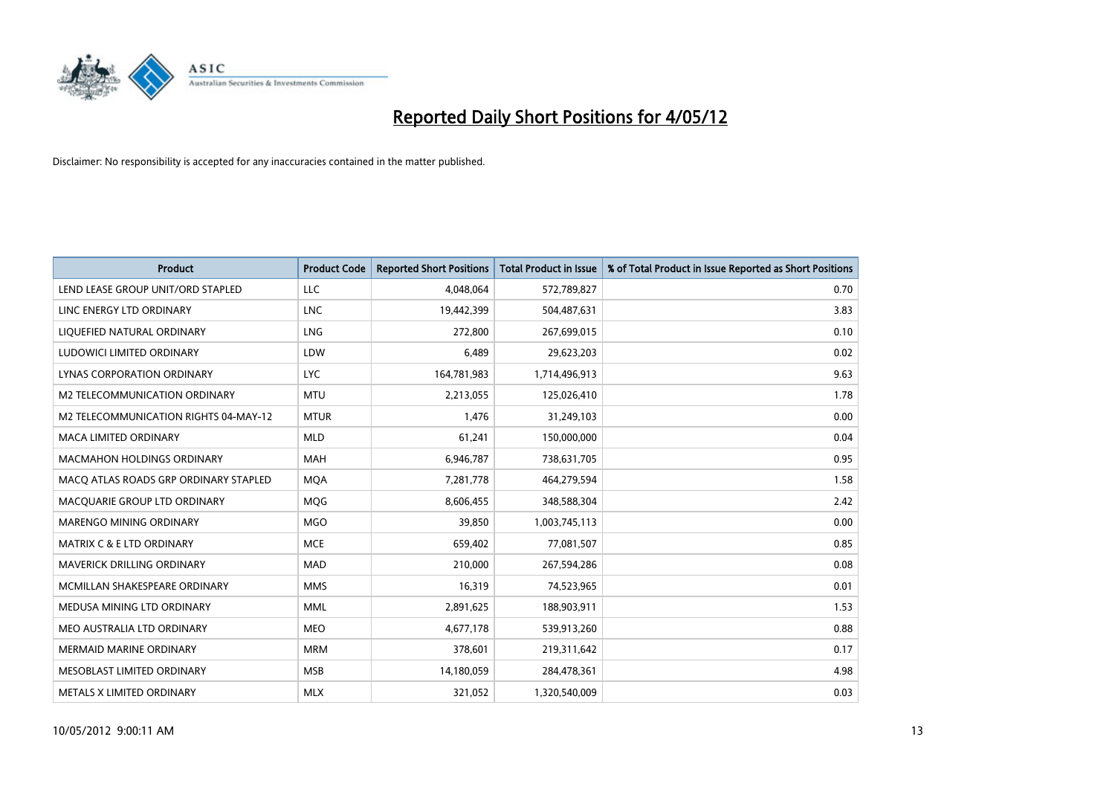

| <b>Product</b>                        | <b>Product Code</b> | <b>Reported Short Positions</b> | <b>Total Product in Issue</b> | % of Total Product in Issue Reported as Short Positions |
|---------------------------------------|---------------------|---------------------------------|-------------------------------|---------------------------------------------------------|
| LEND LEASE GROUP UNIT/ORD STAPLED     | <b>LLC</b>          | 4,048,064                       | 572,789,827                   | 0.70                                                    |
| LINC ENERGY LTD ORDINARY              | <b>LNC</b>          | 19,442,399                      | 504,487,631                   | 3.83                                                    |
| LIQUEFIED NATURAL ORDINARY            | <b>LNG</b>          | 272,800                         | 267,699,015                   | 0.10                                                    |
| LUDOWICI LIMITED ORDINARY             | LDW                 | 6,489                           | 29,623,203                    | 0.02                                                    |
| LYNAS CORPORATION ORDINARY            | <b>LYC</b>          | 164,781,983                     | 1,714,496,913                 | 9.63                                                    |
| <b>M2 TELECOMMUNICATION ORDINARY</b>  | <b>MTU</b>          | 2,213,055                       | 125,026,410                   | 1.78                                                    |
| M2 TELECOMMUNICATION RIGHTS 04-MAY-12 | <b>MTUR</b>         | 1,476                           | 31,249,103                    | 0.00                                                    |
| MACA LIMITED ORDINARY                 | <b>MLD</b>          | 61,241                          | 150,000,000                   | 0.04                                                    |
| <b>MACMAHON HOLDINGS ORDINARY</b>     | <b>MAH</b>          | 6,946,787                       | 738,631,705                   | 0.95                                                    |
| MACO ATLAS ROADS GRP ORDINARY STAPLED | <b>MOA</b>          | 7,281,778                       | 464,279,594                   | 1.58                                                    |
| MACQUARIE GROUP LTD ORDINARY          | MQG                 | 8,606,455                       | 348,588,304                   | 2.42                                                    |
| MARENGO MINING ORDINARY               | <b>MGO</b>          | 39,850                          | 1,003,745,113                 | 0.00                                                    |
| <b>MATRIX C &amp; E LTD ORDINARY</b>  | <b>MCE</b>          | 659,402                         | 77,081,507                    | 0.85                                                    |
| MAVERICK DRILLING ORDINARY            | <b>MAD</b>          | 210,000                         | 267,594,286                   | 0.08                                                    |
| MCMILLAN SHAKESPEARE ORDINARY         | <b>MMS</b>          | 16,319                          | 74,523,965                    | 0.01                                                    |
| MEDUSA MINING LTD ORDINARY            | <b>MML</b>          | 2,891,625                       | 188,903,911                   | 1.53                                                    |
| MEO AUSTRALIA LTD ORDINARY            | <b>MEO</b>          | 4,677,178                       | 539,913,260                   | 0.88                                                    |
| <b>MERMAID MARINE ORDINARY</b>        | <b>MRM</b>          | 378,601                         | 219,311,642                   | 0.17                                                    |
| MESOBLAST LIMITED ORDINARY            | <b>MSB</b>          | 14,180,059                      | 284,478,361                   | 4.98                                                    |
| METALS X LIMITED ORDINARY             | <b>MLX</b>          | 321,052                         | 1,320,540,009                 | 0.03                                                    |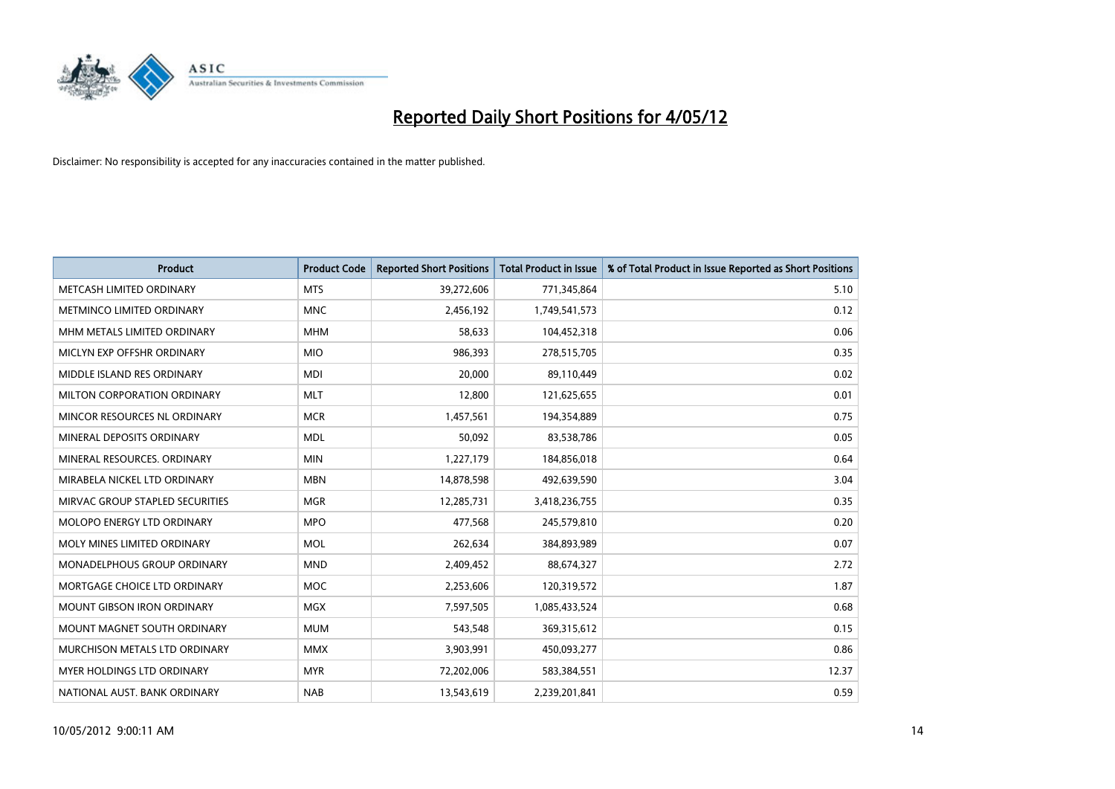

| <b>Product</b>                     | <b>Product Code</b> | <b>Reported Short Positions</b> | <b>Total Product in Issue</b> | % of Total Product in Issue Reported as Short Positions |
|------------------------------------|---------------------|---------------------------------|-------------------------------|---------------------------------------------------------|
| METCASH LIMITED ORDINARY           | <b>MTS</b>          | 39,272,606                      | 771,345,864                   | 5.10                                                    |
| <b>METMINCO LIMITED ORDINARY</b>   | <b>MNC</b>          | 2,456,192                       | 1,749,541,573                 | 0.12                                                    |
| MHM METALS LIMITED ORDINARY        | <b>MHM</b>          | 58,633                          | 104,452,318                   | 0.06                                                    |
| MICLYN EXP OFFSHR ORDINARY         | <b>MIO</b>          | 986,393                         | 278,515,705                   | 0.35                                                    |
| MIDDLE ISLAND RES ORDINARY         | <b>MDI</b>          | 20,000                          | 89,110,449                    | 0.02                                                    |
| MILTON CORPORATION ORDINARY        | <b>MLT</b>          | 12,800                          | 121,625,655                   | 0.01                                                    |
| MINCOR RESOURCES NL ORDINARY       | <b>MCR</b>          | 1,457,561                       | 194,354,889                   | 0.75                                                    |
| MINERAL DEPOSITS ORDINARY          | <b>MDL</b>          | 50,092                          | 83,538,786                    | 0.05                                                    |
| MINERAL RESOURCES, ORDINARY        | <b>MIN</b>          | 1,227,179                       | 184,856,018                   | 0.64                                                    |
| MIRABELA NICKEL LTD ORDINARY       | <b>MBN</b>          | 14,878,598                      | 492,639,590                   | 3.04                                                    |
| MIRVAC GROUP STAPLED SECURITIES    | <b>MGR</b>          | 12,285,731                      | 3,418,236,755                 | 0.35                                                    |
| <b>MOLOPO ENERGY LTD ORDINARY</b>  | <b>MPO</b>          | 477,568                         | 245,579,810                   | 0.20                                                    |
| MOLY MINES LIMITED ORDINARY        | <b>MOL</b>          | 262,634                         | 384,893,989                   | 0.07                                                    |
| <b>MONADELPHOUS GROUP ORDINARY</b> | <b>MND</b>          | 2,409,452                       | 88,674,327                    | 2.72                                                    |
| MORTGAGE CHOICE LTD ORDINARY       | MOC                 | 2,253,606                       | 120,319,572                   | 1.87                                                    |
| <b>MOUNT GIBSON IRON ORDINARY</b>  | <b>MGX</b>          | 7,597,505                       | 1,085,433,524                 | 0.68                                                    |
| MOUNT MAGNET SOUTH ORDINARY        | <b>MUM</b>          | 543,548                         | 369,315,612                   | 0.15                                                    |
| MURCHISON METALS LTD ORDINARY      | <b>MMX</b>          | 3,903,991                       | 450,093,277                   | 0.86                                                    |
| <b>MYER HOLDINGS LTD ORDINARY</b>  | <b>MYR</b>          | 72,202,006                      | 583,384,551                   | 12.37                                                   |
| NATIONAL AUST. BANK ORDINARY       | <b>NAB</b>          | 13,543,619                      | 2,239,201,841                 | 0.59                                                    |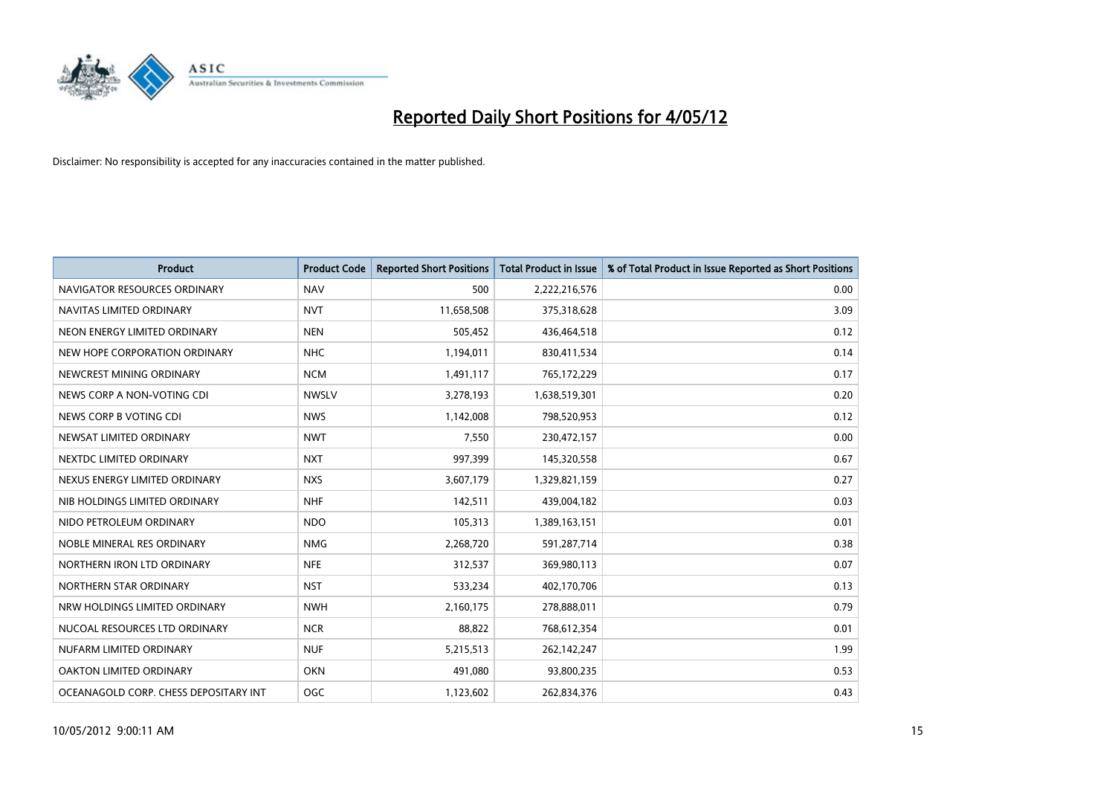

| <b>Product</b>                        | <b>Product Code</b> | <b>Reported Short Positions</b> | <b>Total Product in Issue</b> | % of Total Product in Issue Reported as Short Positions |
|---------------------------------------|---------------------|---------------------------------|-------------------------------|---------------------------------------------------------|
| NAVIGATOR RESOURCES ORDINARY          | <b>NAV</b>          | 500                             | 2,222,216,576                 | 0.00                                                    |
| NAVITAS LIMITED ORDINARY              | <b>NVT</b>          | 11,658,508                      | 375,318,628                   | 3.09                                                    |
| NEON ENERGY LIMITED ORDINARY          | <b>NEN</b>          | 505,452                         | 436,464,518                   | 0.12                                                    |
| NEW HOPE CORPORATION ORDINARY         | <b>NHC</b>          | 1,194,011                       | 830,411,534                   | 0.14                                                    |
| NEWCREST MINING ORDINARY              | <b>NCM</b>          | 1,491,117                       | 765,172,229                   | 0.17                                                    |
| NEWS CORP A NON-VOTING CDI            | <b>NWSLV</b>        | 3,278,193                       | 1,638,519,301                 | 0.20                                                    |
| NEWS CORP B VOTING CDI                | <b>NWS</b>          | 1,142,008                       | 798,520,953                   | 0.12                                                    |
| NEWSAT LIMITED ORDINARY               | <b>NWT</b>          | 7,550                           | 230,472,157                   | 0.00                                                    |
| NEXTDC LIMITED ORDINARY               | <b>NXT</b>          | 997,399                         | 145,320,558                   | 0.67                                                    |
| NEXUS ENERGY LIMITED ORDINARY         | <b>NXS</b>          | 3,607,179                       | 1,329,821,159                 | 0.27                                                    |
| NIB HOLDINGS LIMITED ORDINARY         | <b>NHF</b>          | 142,511                         | 439,004,182                   | 0.03                                                    |
| NIDO PETROLEUM ORDINARY               | <b>NDO</b>          | 105,313                         | 1,389,163,151                 | 0.01                                                    |
| NOBLE MINERAL RES ORDINARY            | <b>NMG</b>          | 2,268,720                       | 591,287,714                   | 0.38                                                    |
| NORTHERN IRON LTD ORDINARY            | <b>NFE</b>          | 312,537                         | 369,980,113                   | 0.07                                                    |
| NORTHERN STAR ORDINARY                | <b>NST</b>          | 533,234                         | 402,170,706                   | 0.13                                                    |
| NRW HOLDINGS LIMITED ORDINARY         | <b>NWH</b>          | 2,160,175                       | 278,888,011                   | 0.79                                                    |
| NUCOAL RESOURCES LTD ORDINARY         | <b>NCR</b>          | 88,822                          | 768,612,354                   | 0.01                                                    |
| NUFARM LIMITED ORDINARY               | <b>NUF</b>          | 5,215,513                       | 262,142,247                   | 1.99                                                    |
| OAKTON LIMITED ORDINARY               | <b>OKN</b>          | 491,080                         | 93,800,235                    | 0.53                                                    |
| OCEANAGOLD CORP. CHESS DEPOSITARY INT | OGC                 | 1,123,602                       | 262,834,376                   | 0.43                                                    |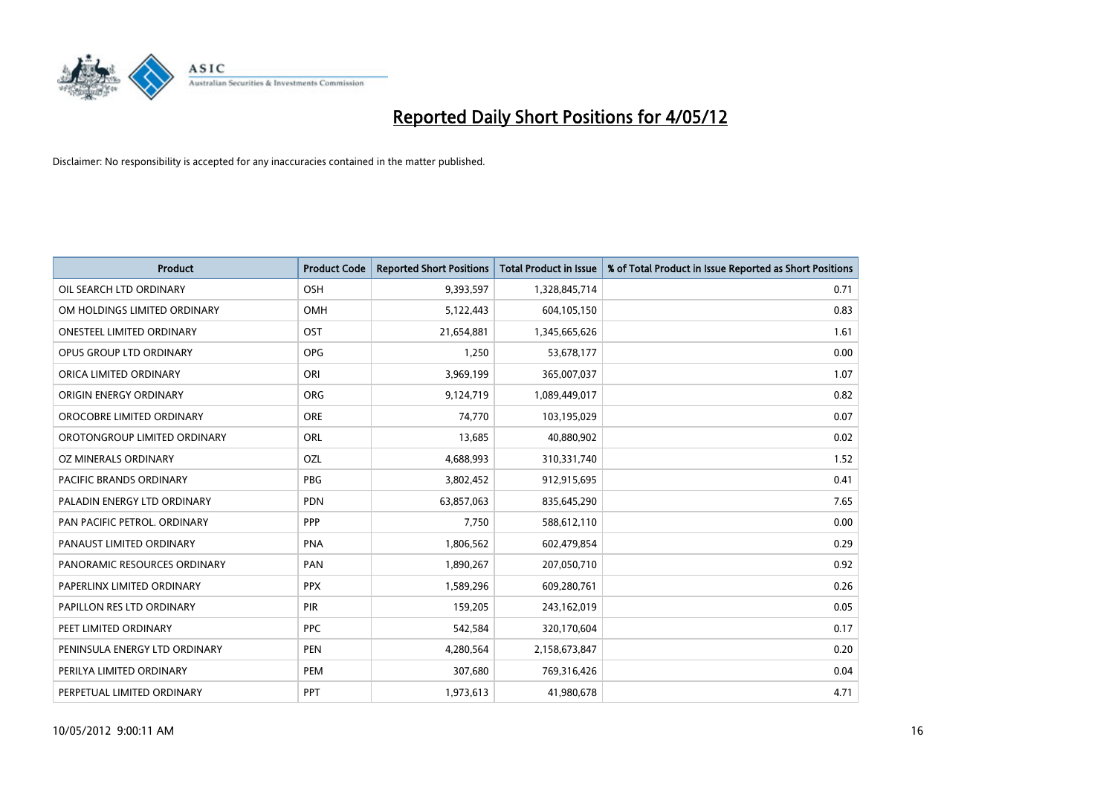

| <b>Product</b>                   | <b>Product Code</b> | <b>Reported Short Positions</b> | <b>Total Product in Issue</b> | % of Total Product in Issue Reported as Short Positions |
|----------------------------------|---------------------|---------------------------------|-------------------------------|---------------------------------------------------------|
| OIL SEARCH LTD ORDINARY          | OSH                 | 9,393,597                       | 1,328,845,714                 | 0.71                                                    |
| OM HOLDINGS LIMITED ORDINARY     | OMH                 | 5,122,443                       | 604,105,150                   | 0.83                                                    |
| <b>ONESTEEL LIMITED ORDINARY</b> | OST                 | 21,654,881                      | 1,345,665,626                 | 1.61                                                    |
| OPUS GROUP LTD ORDINARY          | <b>OPG</b>          | 1,250                           | 53,678,177                    | 0.00                                                    |
| ORICA LIMITED ORDINARY           | ORI                 | 3,969,199                       | 365,007,037                   | 1.07                                                    |
| ORIGIN ENERGY ORDINARY           | <b>ORG</b>          | 9,124,719                       | 1,089,449,017                 | 0.82                                                    |
| OROCOBRE LIMITED ORDINARY        | <b>ORE</b>          | 74,770                          | 103,195,029                   | 0.07                                                    |
| OROTONGROUP LIMITED ORDINARY     | ORL                 | 13,685                          | 40,880,902                    | 0.02                                                    |
| <b>OZ MINERALS ORDINARY</b>      | OZL                 | 4,688,993                       | 310,331,740                   | 1.52                                                    |
| <b>PACIFIC BRANDS ORDINARY</b>   | <b>PBG</b>          | 3,802,452                       | 912,915,695                   | 0.41                                                    |
| PALADIN ENERGY LTD ORDINARY      | PDN                 | 63,857,063                      | 835,645,290                   | 7.65                                                    |
| PAN PACIFIC PETROL. ORDINARY     | <b>PPP</b>          | 7,750                           | 588,612,110                   | 0.00                                                    |
| PANAUST LIMITED ORDINARY         | <b>PNA</b>          | 1,806,562                       | 602,479,854                   | 0.29                                                    |
| PANORAMIC RESOURCES ORDINARY     | PAN                 | 1,890,267                       | 207,050,710                   | 0.92                                                    |
| PAPERLINX LIMITED ORDINARY       | <b>PPX</b>          | 1,589,296                       | 609,280,761                   | 0.26                                                    |
| PAPILLON RES LTD ORDINARY        | PIR                 | 159,205                         | 243,162,019                   | 0.05                                                    |
| PEET LIMITED ORDINARY            | <b>PPC</b>          | 542,584                         | 320,170,604                   | 0.17                                                    |
| PENINSULA ENERGY LTD ORDINARY    | <b>PEN</b>          | 4,280,564                       | 2,158,673,847                 | 0.20                                                    |
| PERILYA LIMITED ORDINARY         | PEM                 | 307,680                         | 769,316,426                   | 0.04                                                    |
| PERPETUAL LIMITED ORDINARY       | PPT                 | 1,973,613                       | 41,980,678                    | 4.71                                                    |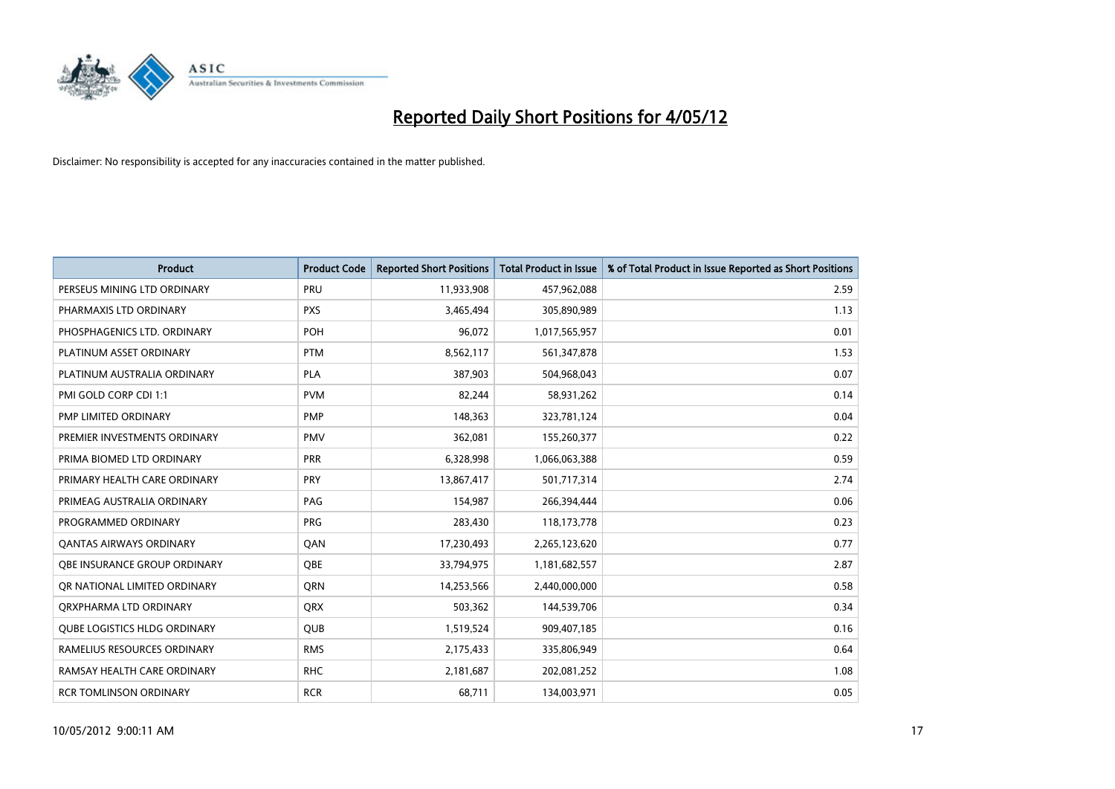

| <b>Product</b>                      | <b>Product Code</b> | <b>Reported Short Positions</b> | <b>Total Product in Issue</b> | % of Total Product in Issue Reported as Short Positions |
|-------------------------------------|---------------------|---------------------------------|-------------------------------|---------------------------------------------------------|
| PERSEUS MINING LTD ORDINARY         | PRU                 | 11,933,908                      | 457,962,088                   | 2.59                                                    |
| PHARMAXIS LTD ORDINARY              | <b>PXS</b>          | 3,465,494                       | 305,890,989                   | 1.13                                                    |
| PHOSPHAGENICS LTD. ORDINARY         | POH                 | 96,072                          | 1,017,565,957                 | 0.01                                                    |
| PLATINUM ASSET ORDINARY             | <b>PTM</b>          | 8,562,117                       | 561,347,878                   | 1.53                                                    |
| PLATINUM AUSTRALIA ORDINARY         | <b>PLA</b>          | 387,903                         | 504,968,043                   | 0.07                                                    |
| PMI GOLD CORP CDI 1:1               | <b>PVM</b>          | 82,244                          | 58,931,262                    | 0.14                                                    |
| PMP LIMITED ORDINARY                | <b>PMP</b>          | 148,363                         | 323,781,124                   | 0.04                                                    |
| PREMIER INVESTMENTS ORDINARY        | <b>PMV</b>          | 362,081                         | 155,260,377                   | 0.22                                                    |
| PRIMA BIOMED LTD ORDINARY           | <b>PRR</b>          | 6,328,998                       | 1,066,063,388                 | 0.59                                                    |
| PRIMARY HEALTH CARE ORDINARY        | <b>PRY</b>          | 13,867,417                      | 501,717,314                   | 2.74                                                    |
| PRIMEAG AUSTRALIA ORDINARY          | PAG                 | 154,987                         | 266,394,444                   | 0.06                                                    |
| PROGRAMMED ORDINARY                 | <b>PRG</b>          | 283,430                         | 118,173,778                   | 0.23                                                    |
| <b>QANTAS AIRWAYS ORDINARY</b>      | QAN                 | 17,230,493                      | 2,265,123,620                 | 0.77                                                    |
| OBE INSURANCE GROUP ORDINARY        | <b>OBE</b>          | 33,794,975                      | 1,181,682,557                 | 2.87                                                    |
| OR NATIONAL LIMITED ORDINARY        | <b>ORN</b>          | 14,253,566                      | 2,440,000,000                 | 0.58                                                    |
| ORXPHARMA LTD ORDINARY              | <b>QRX</b>          | 503,362                         | 144,539,706                   | 0.34                                                    |
| <b>QUBE LOGISTICS HLDG ORDINARY</b> | <b>QUB</b>          | 1,519,524                       | 909,407,185                   | 0.16                                                    |
| RAMELIUS RESOURCES ORDINARY         | <b>RMS</b>          | 2,175,433                       | 335,806,949                   | 0.64                                                    |
| RAMSAY HEALTH CARE ORDINARY         | <b>RHC</b>          | 2,181,687                       | 202,081,252                   | 1.08                                                    |
| RCR TOMLINSON ORDINARY              | <b>RCR</b>          | 68,711                          | 134,003,971                   | 0.05                                                    |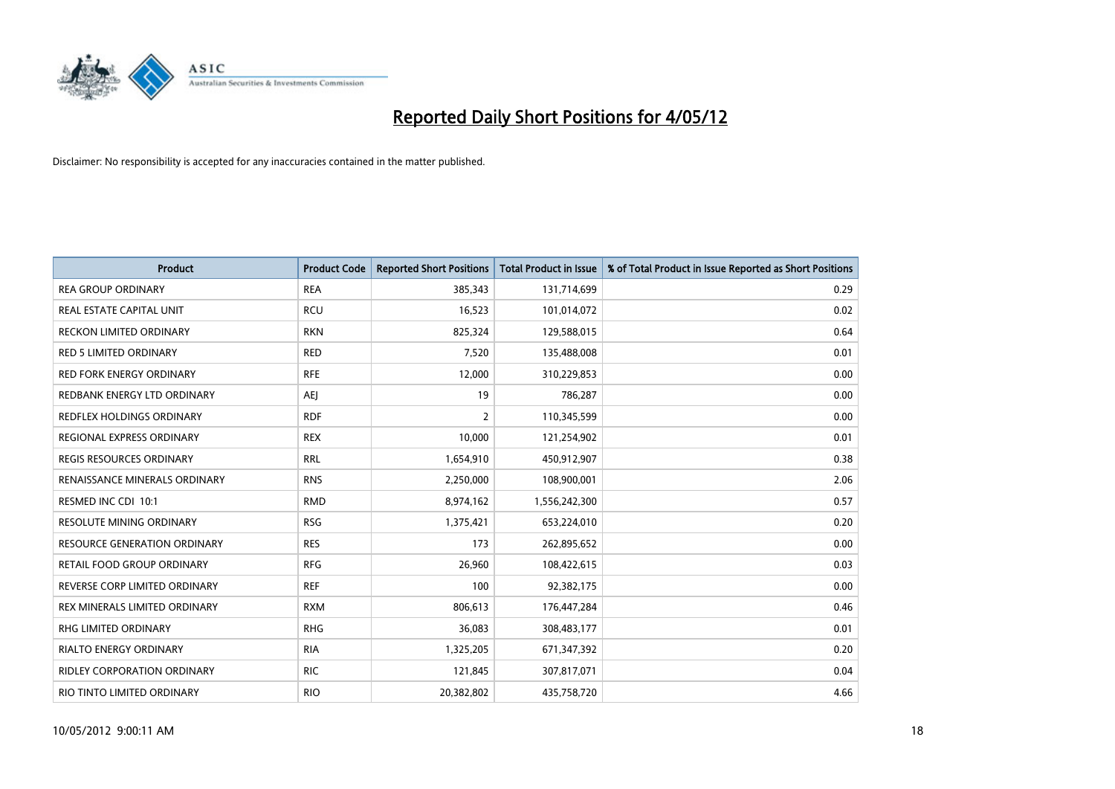

| <b>Product</b>                     | <b>Product Code</b> | <b>Reported Short Positions</b> | <b>Total Product in Issue</b> | % of Total Product in Issue Reported as Short Positions |
|------------------------------------|---------------------|---------------------------------|-------------------------------|---------------------------------------------------------|
| <b>REA GROUP ORDINARY</b>          | <b>REA</b>          | 385,343                         | 131,714,699                   | 0.29                                                    |
| REAL ESTATE CAPITAL UNIT           | <b>RCU</b>          | 16,523                          | 101,014,072                   | 0.02                                                    |
| <b>RECKON LIMITED ORDINARY</b>     | <b>RKN</b>          | 825,324                         | 129,588,015                   | 0.64                                                    |
| RED 5 LIMITED ORDINARY             | <b>RED</b>          | 7,520                           | 135,488,008                   | 0.01                                                    |
| <b>RED FORK ENERGY ORDINARY</b>    | <b>RFE</b>          | 12,000                          | 310,229,853                   | 0.00                                                    |
| REDBANK ENERGY LTD ORDINARY        | <b>AEJ</b>          | 19                              | 786,287                       | 0.00                                                    |
| <b>REDFLEX HOLDINGS ORDINARY</b>   | <b>RDF</b>          | $\overline{2}$                  | 110,345,599                   | 0.00                                                    |
| REGIONAL EXPRESS ORDINARY          | <b>REX</b>          | 10,000                          | 121,254,902                   | 0.01                                                    |
| <b>REGIS RESOURCES ORDINARY</b>    | <b>RRL</b>          | 1,654,910                       | 450,912,907                   | 0.38                                                    |
| RENAISSANCE MINERALS ORDINARY      | <b>RNS</b>          | 2,250,000                       | 108,900,001                   | 2.06                                                    |
| RESMED INC CDI 10:1                | <b>RMD</b>          | 8,974,162                       | 1,556,242,300                 | 0.57                                                    |
| <b>RESOLUTE MINING ORDINARY</b>    | <b>RSG</b>          | 1,375,421                       | 653,224,010                   | 0.20                                                    |
| RESOURCE GENERATION ORDINARY       | <b>RES</b>          | 173                             | 262,895,652                   | 0.00                                                    |
| <b>RETAIL FOOD GROUP ORDINARY</b>  | <b>RFG</b>          | 26,960                          | 108,422,615                   | 0.03                                                    |
| REVERSE CORP LIMITED ORDINARY      | <b>REF</b>          | 100                             | 92,382,175                    | 0.00                                                    |
| REX MINERALS LIMITED ORDINARY      | <b>RXM</b>          | 806,613                         | 176,447,284                   | 0.46                                                    |
| RHG LIMITED ORDINARY               | <b>RHG</b>          | 36,083                          | 308,483,177                   | 0.01                                                    |
| <b>RIALTO ENERGY ORDINARY</b>      | <b>RIA</b>          | 1,325,205                       | 671,347,392                   | 0.20                                                    |
| <b>RIDLEY CORPORATION ORDINARY</b> | <b>RIC</b>          | 121,845                         | 307,817,071                   | 0.04                                                    |
| RIO TINTO LIMITED ORDINARY         | <b>RIO</b>          | 20,382,802                      | 435,758,720                   | 4.66                                                    |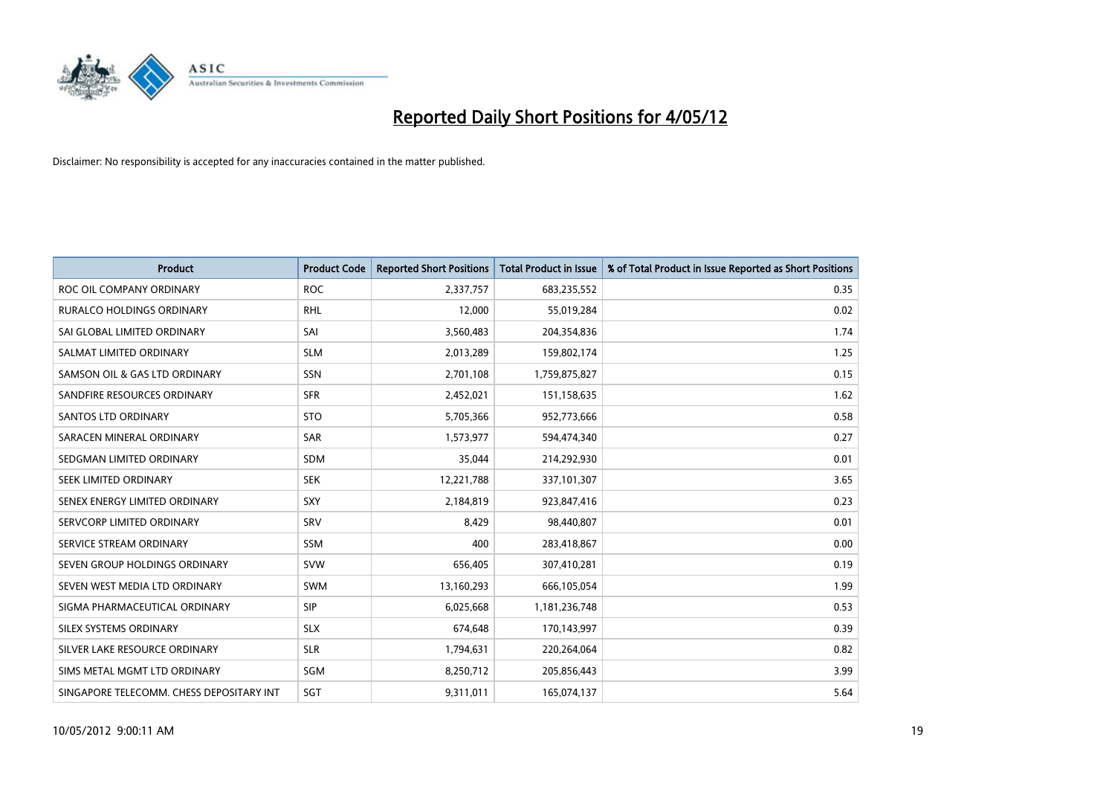

| <b>Product</b>                           | <b>Product Code</b> | <b>Reported Short Positions</b> | <b>Total Product in Issue</b> | % of Total Product in Issue Reported as Short Positions |
|------------------------------------------|---------------------|---------------------------------|-------------------------------|---------------------------------------------------------|
| ROC OIL COMPANY ORDINARY                 | <b>ROC</b>          | 2,337,757                       | 683,235,552                   | 0.35                                                    |
| <b>RURALCO HOLDINGS ORDINARY</b>         | <b>RHL</b>          | 12,000                          | 55,019,284                    | 0.02                                                    |
| SAI GLOBAL LIMITED ORDINARY              | SAI                 | 3,560,483                       | 204,354,836                   | 1.74                                                    |
| SALMAT LIMITED ORDINARY                  | <b>SLM</b>          | 2,013,289                       | 159,802,174                   | 1.25                                                    |
| SAMSON OIL & GAS LTD ORDINARY            | SSN                 | 2,701,108                       | 1,759,875,827                 | 0.15                                                    |
| SANDFIRE RESOURCES ORDINARY              | <b>SFR</b>          | 2,452,021                       | 151,158,635                   | 1.62                                                    |
| <b>SANTOS LTD ORDINARY</b>               | <b>STO</b>          | 5,705,366                       | 952,773,666                   | 0.58                                                    |
| SARACEN MINERAL ORDINARY                 | <b>SAR</b>          | 1,573,977                       | 594,474,340                   | 0.27                                                    |
| SEDGMAN LIMITED ORDINARY                 | <b>SDM</b>          | 35,044                          | 214,292,930                   | 0.01                                                    |
| SEEK LIMITED ORDINARY                    | <b>SEK</b>          | 12,221,788                      | 337,101,307                   | 3.65                                                    |
| SENEX ENERGY LIMITED ORDINARY            | <b>SXY</b>          | 2,184,819                       | 923,847,416                   | 0.23                                                    |
| SERVCORP LIMITED ORDINARY                | SRV                 | 8,429                           | 98,440,807                    | 0.01                                                    |
| SERVICE STREAM ORDINARY                  | SSM                 | 400                             | 283,418,867                   | 0.00                                                    |
| SEVEN GROUP HOLDINGS ORDINARY            | <b>SVW</b>          | 656,405                         | 307,410,281                   | 0.19                                                    |
| SEVEN WEST MEDIA LTD ORDINARY            | <b>SWM</b>          | 13,160,293                      | 666,105,054                   | 1.99                                                    |
| SIGMA PHARMACEUTICAL ORDINARY            | <b>SIP</b>          | 6,025,668                       | 1,181,236,748                 | 0.53                                                    |
| SILEX SYSTEMS ORDINARY                   | <b>SLX</b>          | 674,648                         | 170,143,997                   | 0.39                                                    |
| SILVER LAKE RESOURCE ORDINARY            | <b>SLR</b>          | 1,794,631                       | 220,264,064                   | 0.82                                                    |
| SIMS METAL MGMT LTD ORDINARY             | SGM                 | 8,250,712                       | 205,856,443                   | 3.99                                                    |
| SINGAPORE TELECOMM. CHESS DEPOSITARY INT | SGT                 | 9,311,011                       | 165,074,137                   | 5.64                                                    |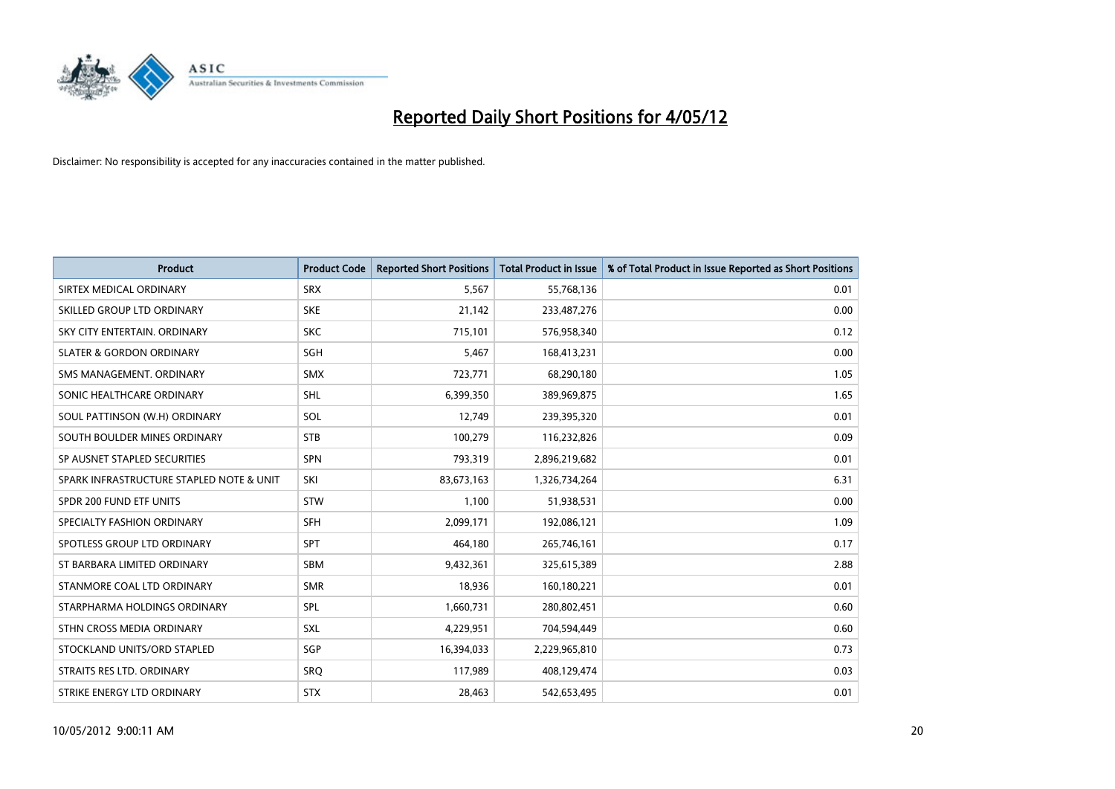

| <b>Product</b>                           | <b>Product Code</b> | <b>Reported Short Positions</b> | <b>Total Product in Issue</b> | % of Total Product in Issue Reported as Short Positions |
|------------------------------------------|---------------------|---------------------------------|-------------------------------|---------------------------------------------------------|
| SIRTEX MEDICAL ORDINARY                  | <b>SRX</b>          | 5,567                           | 55,768,136                    | 0.01                                                    |
| SKILLED GROUP LTD ORDINARY               | <b>SKE</b>          | 21,142                          | 233,487,276                   | 0.00                                                    |
| SKY CITY ENTERTAIN, ORDINARY             | <b>SKC</b>          | 715,101                         | 576,958,340                   | 0.12                                                    |
| <b>SLATER &amp; GORDON ORDINARY</b>      | SGH                 | 5,467                           | 168,413,231                   | 0.00                                                    |
| SMS MANAGEMENT, ORDINARY                 | SMX                 | 723,771                         | 68,290,180                    | 1.05                                                    |
| SONIC HEALTHCARE ORDINARY                | <b>SHL</b>          | 6,399,350                       | 389,969,875                   | 1.65                                                    |
| SOUL PATTINSON (W.H) ORDINARY            | SOL                 | 12,749                          | 239,395,320                   | 0.01                                                    |
| SOUTH BOULDER MINES ORDINARY             | <b>STB</b>          | 100,279                         | 116,232,826                   | 0.09                                                    |
| SP AUSNET STAPLED SECURITIES             | SPN                 | 793,319                         | 2,896,219,682                 | 0.01                                                    |
| SPARK INFRASTRUCTURE STAPLED NOTE & UNIT | SKI                 | 83,673,163                      | 1,326,734,264                 | 6.31                                                    |
| SPDR 200 FUND ETF UNITS                  | <b>STW</b>          | 1,100                           | 51,938,531                    | 0.00                                                    |
| SPECIALTY FASHION ORDINARY               | <b>SFH</b>          | 2,099,171                       | 192,086,121                   | 1.09                                                    |
| SPOTLESS GROUP LTD ORDINARY              | <b>SPT</b>          | 464,180                         | 265,746,161                   | 0.17                                                    |
| ST BARBARA LIMITED ORDINARY              | SBM                 | 9,432,361                       | 325,615,389                   | 2.88                                                    |
| STANMORE COAL LTD ORDINARY               | <b>SMR</b>          | 18,936                          | 160,180,221                   | 0.01                                                    |
| STARPHARMA HOLDINGS ORDINARY             | SPL                 | 1,660,731                       | 280,802,451                   | 0.60                                                    |
| STHN CROSS MEDIA ORDINARY                | SXL                 | 4,229,951                       | 704,594,449                   | 0.60                                                    |
| STOCKLAND UNITS/ORD STAPLED              | SGP                 | 16,394,033                      | 2,229,965,810                 | 0.73                                                    |
| STRAITS RES LTD. ORDINARY                | SRO                 | 117,989                         | 408,129,474                   | 0.03                                                    |
| STRIKE ENERGY LTD ORDINARY               | <b>STX</b>          | 28,463                          | 542,653,495                   | 0.01                                                    |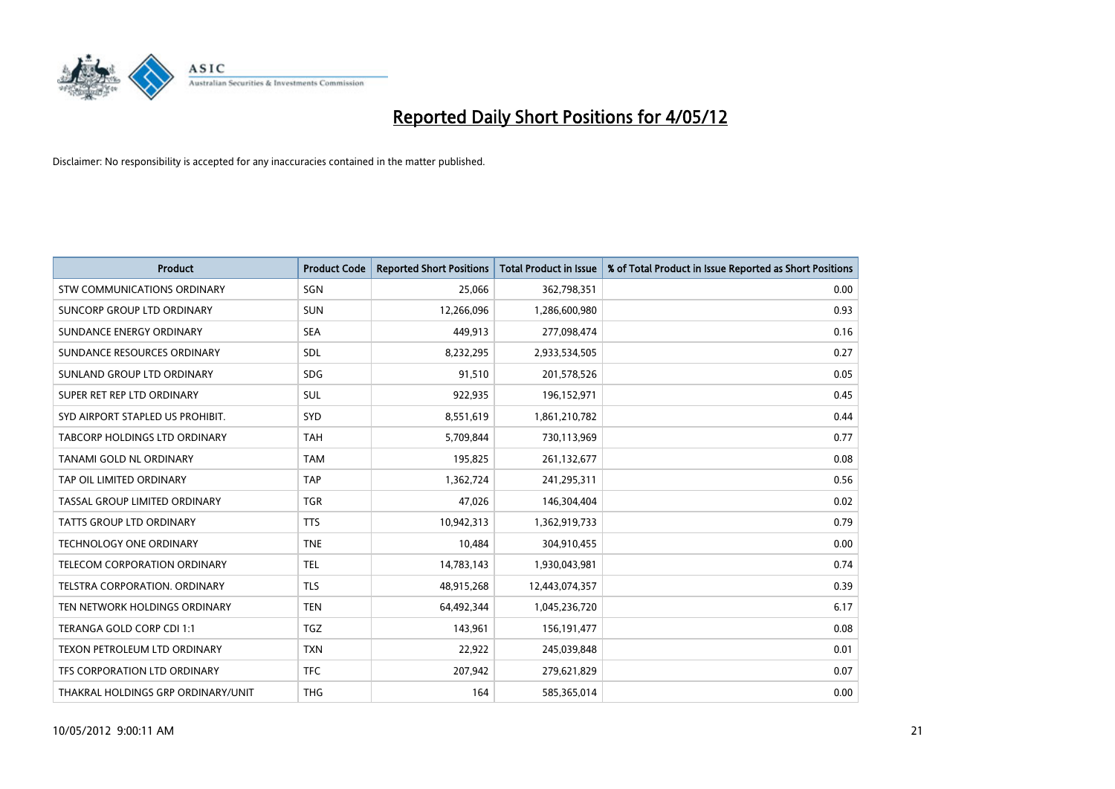

| <b>Product</b>                     | <b>Product Code</b> | <b>Reported Short Positions</b> | <b>Total Product in Issue</b> | % of Total Product in Issue Reported as Short Positions |
|------------------------------------|---------------------|---------------------------------|-------------------------------|---------------------------------------------------------|
| <b>STW COMMUNICATIONS ORDINARY</b> | SGN                 | 25,066                          | 362,798,351                   | 0.00                                                    |
| SUNCORP GROUP LTD ORDINARY         | <b>SUN</b>          | 12,266,096                      | 1,286,600,980                 | 0.93                                                    |
| SUNDANCE ENERGY ORDINARY           | <b>SEA</b>          | 449,913                         | 277,098,474                   | 0.16                                                    |
| SUNDANCE RESOURCES ORDINARY        | SDL                 | 8,232,295                       | 2,933,534,505                 | 0.27                                                    |
| SUNLAND GROUP LTD ORDINARY         | <b>SDG</b>          | 91,510                          | 201,578,526                   | 0.05                                                    |
| SUPER RET REP LTD ORDINARY         | <b>SUL</b>          | 922,935                         | 196,152,971                   | 0.45                                                    |
| SYD AIRPORT STAPLED US PROHIBIT.   | <b>SYD</b>          | 8,551,619                       | 1,861,210,782                 | 0.44                                                    |
| TABCORP HOLDINGS LTD ORDINARY      | <b>TAH</b>          | 5,709,844                       | 730,113,969                   | 0.77                                                    |
| TANAMI GOLD NL ORDINARY            | <b>TAM</b>          | 195,825                         | 261,132,677                   | 0.08                                                    |
| TAP OIL LIMITED ORDINARY           | <b>TAP</b>          | 1,362,724                       | 241,295,311                   | 0.56                                                    |
| TASSAL GROUP LIMITED ORDINARY      | <b>TGR</b>          | 47,026                          | 146,304,404                   | 0.02                                                    |
| <b>TATTS GROUP LTD ORDINARY</b>    | <b>TTS</b>          | 10,942,313                      | 1,362,919,733                 | 0.79                                                    |
| TECHNOLOGY ONE ORDINARY            | <b>TNE</b>          | 10,484                          | 304,910,455                   | 0.00                                                    |
| TELECOM CORPORATION ORDINARY       | <b>TEL</b>          | 14,783,143                      | 1,930,043,981                 | 0.74                                                    |
| TELSTRA CORPORATION, ORDINARY      | <b>TLS</b>          | 48,915,268                      | 12,443,074,357                | 0.39                                                    |
| TEN NETWORK HOLDINGS ORDINARY      | <b>TEN</b>          | 64,492,344                      | 1,045,236,720                 | 6.17                                                    |
| TERANGA GOLD CORP CDI 1:1          | <b>TGZ</b>          | 143,961                         | 156, 191, 477                 | 0.08                                                    |
| TEXON PETROLEUM LTD ORDINARY       | <b>TXN</b>          | 22,922                          | 245,039,848                   | 0.01                                                    |
| TFS CORPORATION LTD ORDINARY       | <b>TFC</b>          | 207,942                         | 279,621,829                   | 0.07                                                    |
| THAKRAL HOLDINGS GRP ORDINARY/UNIT | <b>THG</b>          | 164                             | 585,365,014                   | 0.00                                                    |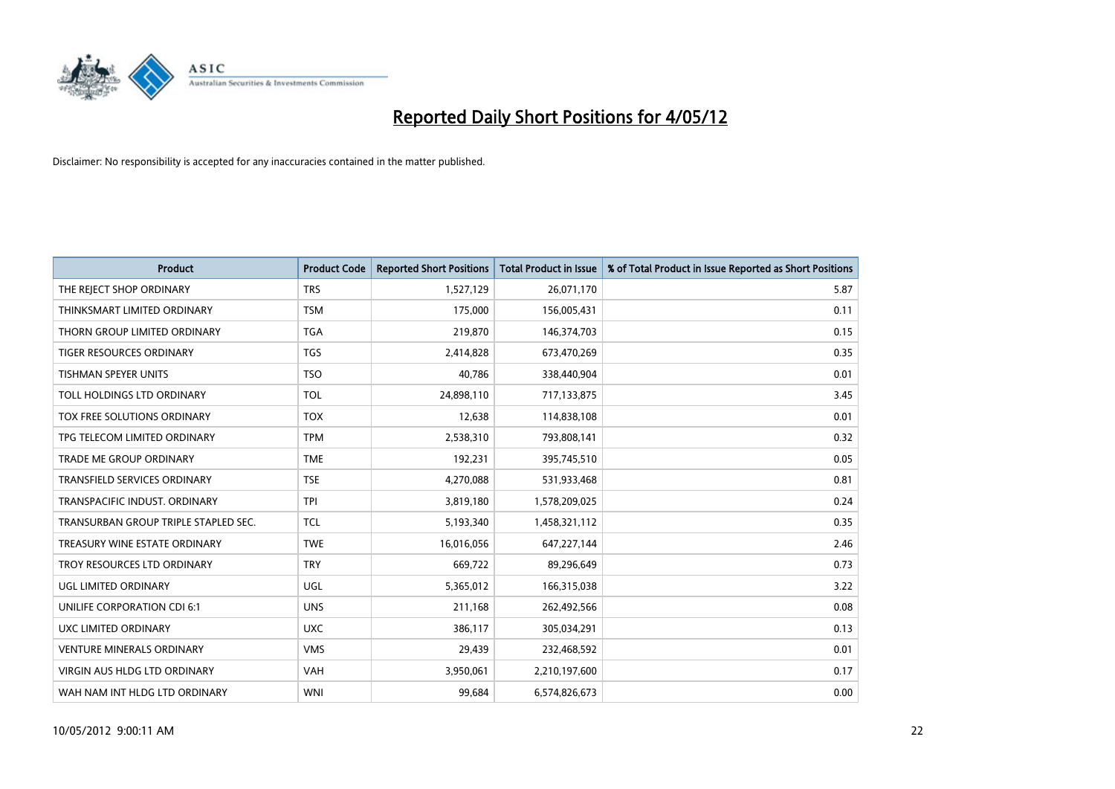

| <b>Product</b>                       | <b>Product Code</b> | <b>Reported Short Positions</b> | <b>Total Product in Issue</b> | % of Total Product in Issue Reported as Short Positions |
|--------------------------------------|---------------------|---------------------------------|-------------------------------|---------------------------------------------------------|
| THE REJECT SHOP ORDINARY             | <b>TRS</b>          | 1,527,129                       | 26,071,170                    | 5.87                                                    |
| THINKSMART LIMITED ORDINARY          | <b>TSM</b>          | 175,000                         | 156,005,431                   | 0.11                                                    |
| THORN GROUP LIMITED ORDINARY         | <b>TGA</b>          | 219,870                         | 146,374,703                   | 0.15                                                    |
| <b>TIGER RESOURCES ORDINARY</b>      | <b>TGS</b>          | 2,414,828                       | 673,470,269                   | 0.35                                                    |
| <b>TISHMAN SPEYER UNITS</b>          | <b>TSO</b>          | 40,786                          | 338,440,904                   | 0.01                                                    |
| TOLL HOLDINGS LTD ORDINARY           | <b>TOL</b>          | 24,898,110                      | 717,133,875                   | 3.45                                                    |
| TOX FREE SOLUTIONS ORDINARY          | <b>TOX</b>          | 12,638                          | 114,838,108                   | 0.01                                                    |
| TPG TELECOM LIMITED ORDINARY         | <b>TPM</b>          | 2,538,310                       | 793,808,141                   | 0.32                                                    |
| <b>TRADE ME GROUP ORDINARY</b>       | <b>TME</b>          | 192,231                         | 395,745,510                   | 0.05                                                    |
| <b>TRANSFIELD SERVICES ORDINARY</b>  | <b>TSE</b>          | 4,270,088                       | 531,933,468                   | 0.81                                                    |
| TRANSPACIFIC INDUST. ORDINARY        | <b>TPI</b>          | 3,819,180                       | 1,578,209,025                 | 0.24                                                    |
| TRANSURBAN GROUP TRIPLE STAPLED SEC. | TCL                 | 5,193,340                       | 1,458,321,112                 | 0.35                                                    |
| TREASURY WINE ESTATE ORDINARY        | <b>TWE</b>          | 16,016,056                      | 647,227,144                   | 2.46                                                    |
| TROY RESOURCES LTD ORDINARY          | <b>TRY</b>          | 669,722                         | 89,296,649                    | 0.73                                                    |
| UGL LIMITED ORDINARY                 | UGL                 | 5,365,012                       | 166,315,038                   | 3.22                                                    |
| UNILIFE CORPORATION CDI 6:1          | <b>UNS</b>          | 211,168                         | 262,492,566                   | 0.08                                                    |
| UXC LIMITED ORDINARY                 | <b>UXC</b>          | 386,117                         | 305,034,291                   | 0.13                                                    |
| <b>VENTURE MINERALS ORDINARY</b>     | <b>VMS</b>          | 29,439                          | 232,468,592                   | 0.01                                                    |
| VIRGIN AUS HLDG LTD ORDINARY         | <b>VAH</b>          | 3,950,061                       | 2,210,197,600                 | 0.17                                                    |
| WAH NAM INT HLDG LTD ORDINARY        | <b>WNI</b>          | 99,684                          | 6,574,826,673                 | 0.00                                                    |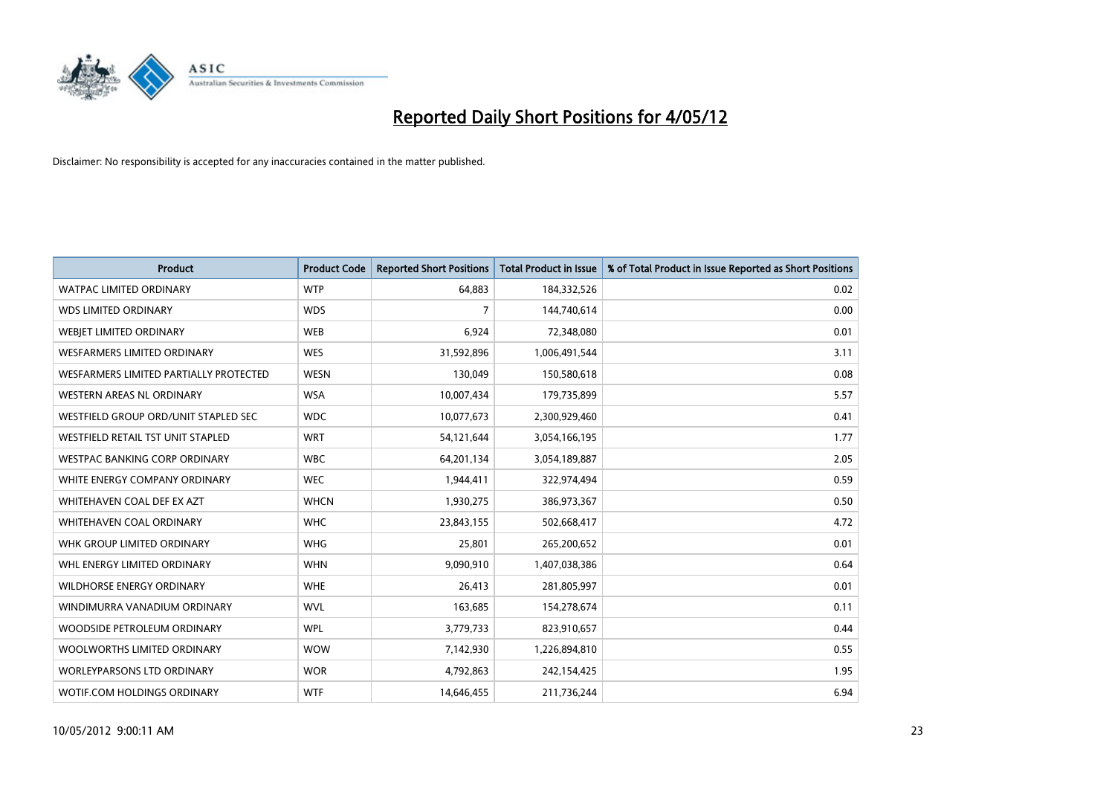

| <b>Product</b>                         | <b>Product Code</b> | <b>Reported Short Positions</b> | <b>Total Product in Issue</b> | % of Total Product in Issue Reported as Short Positions |
|----------------------------------------|---------------------|---------------------------------|-------------------------------|---------------------------------------------------------|
| <b>WATPAC LIMITED ORDINARY</b>         | <b>WTP</b>          | 64,883                          | 184,332,526                   | 0.02                                                    |
| <b>WDS LIMITED ORDINARY</b>            | <b>WDS</b>          | 7                               | 144,740,614                   | 0.00                                                    |
| WEBJET LIMITED ORDINARY                | <b>WEB</b>          | 6,924                           | 72,348,080                    | 0.01                                                    |
| WESFARMERS LIMITED ORDINARY            | <b>WES</b>          | 31,592,896                      | 1,006,491,544                 | 3.11                                                    |
| WESFARMERS LIMITED PARTIALLY PROTECTED | <b>WESN</b>         | 130,049                         | 150,580,618                   | 0.08                                                    |
| WESTERN AREAS NL ORDINARY              | <b>WSA</b>          | 10,007,434                      | 179,735,899                   | 5.57                                                    |
| WESTFIELD GROUP ORD/UNIT STAPLED SEC   | <b>WDC</b>          | 10,077,673                      | 2,300,929,460                 | 0.41                                                    |
| WESTFIELD RETAIL TST UNIT STAPLED      | <b>WRT</b>          | 54,121,644                      | 3,054,166,195                 | 1.77                                                    |
| <b>WESTPAC BANKING CORP ORDINARY</b>   | <b>WBC</b>          | 64,201,134                      | 3,054,189,887                 | 2.05                                                    |
| WHITE ENERGY COMPANY ORDINARY          | <b>WEC</b>          | 1,944,411                       | 322,974,494                   | 0.59                                                    |
| WHITEHAVEN COAL DEF EX AZT             | <b>WHCN</b>         | 1,930,275                       | 386,973,367                   | 0.50                                                    |
| WHITEHAVEN COAL ORDINARY               | <b>WHC</b>          | 23,843,155                      | 502,668,417                   | 4.72                                                    |
| WHK GROUP LIMITED ORDINARY             | <b>WHG</b>          | 25,801                          | 265,200,652                   | 0.01                                                    |
| WHL ENERGY LIMITED ORDINARY            | <b>WHN</b>          | 9,090,910                       | 1,407,038,386                 | 0.64                                                    |
| <b>WILDHORSE ENERGY ORDINARY</b>       | <b>WHE</b>          | 26,413                          | 281,805,997                   | 0.01                                                    |
| WINDIMURRA VANADIUM ORDINARY           | <b>WVL</b>          | 163,685                         | 154,278,674                   | 0.11                                                    |
| WOODSIDE PETROLEUM ORDINARY            | <b>WPL</b>          | 3,779,733                       | 823,910,657                   | 0.44                                                    |
| WOOLWORTHS LIMITED ORDINARY            | <b>WOW</b>          | 7,142,930                       | 1,226,894,810                 | 0.55                                                    |
| <b>WORLEYPARSONS LTD ORDINARY</b>      | <b>WOR</b>          | 4,792,863                       | 242,154,425                   | 1.95                                                    |
| WOTIF.COM HOLDINGS ORDINARY            | <b>WTF</b>          | 14,646,455                      | 211,736,244                   | 6.94                                                    |